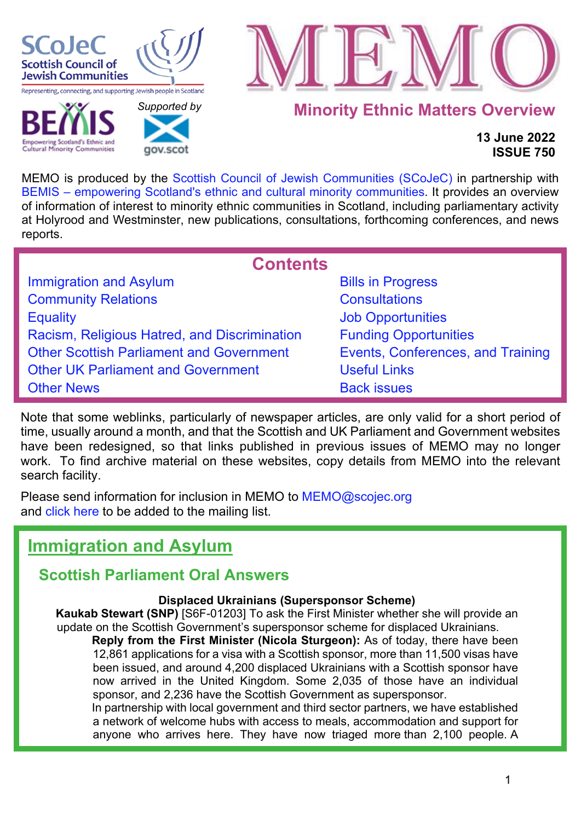

**Cultural Minority Communities** 

 *[Supported b](http://www.gov.scot/)y* 

gov.scot



**Minority Ethnic Matters Overview**

**13 June 2022 ISSUE 750**

MEMO is produced by the [Scottish Council of Jewish Communities \(SCoJeC\)](https://www.scojec.org/index.html) in partnership with [BEMIS – empowering Scotland's ethnic and cultural minority communities.](https://bemis.org.uk/) It provides an overview of information of interest to minority ethnic communities in Scotland, including parliamentary activity at Holyrood and Westminster, new publications, consultations, forthcoming conferences, and news reports.

<span id="page-0-1"></span>

| <b>Contents</b>                                 |                                   |
|-------------------------------------------------|-----------------------------------|
| <b>Immigration and Asylum</b>                   | <b>Bills in Progress</b>          |
| <b>Community Relations</b>                      | <b>Consultations</b>              |
| <b>Equality</b>                                 | <b>Job Opportunities</b>          |
| Racism, Religious Hatred, and Discrimination    | <b>Funding Opportunities</b>      |
| <b>Other Scottish Parliament and Government</b> | Events, Conferences, and Training |
| <b>Other UK Parliament and Government</b>       | <b>Useful Links</b>               |
| <b>Other News</b>                               | <b>Back issues</b>                |

Note that some weblinks, particularly of newspaper articles, are only valid for a short period of time, usually around a month, and that the Scottish and UK Parliament and Government websites have been redesigned, so that links published in previous issues of MEMO may no longer work. To find archive material on these websites, copy details from MEMO into the relevant search facility.

Please send information for inclusion in MEMO to MEMO@scojec.org and [click here](https://www.scojec.org/memo/subscribe/subscribe.html) to be added to the mailing list.

# <span id="page-0-0"></span>**Immigration and Asylum**

# **Scottish Parliament Oral Answers**

## **Displaced Ukrainians (Supersponsor Scheme)**

**Kaukab Stewart (SNP)** [S6F-01203] To ask the First Minister whether she will provide an update on the Scottish Government's supersponsor scheme for displaced Ukrainians.

**Reply from the First Minister (Nicola Sturgeon):** As of today, there have been 12,861 applications for a visa with a Scottish sponsor, more than 11,500 visas have been issued, and around 4,200 displaced Ukrainians with a Scottish sponsor have now arrived in the United Kingdom. Some 2,035 of those have an individual sponsor, and 2,236 have the Scottish Government as supersponsor.

In partnership with local government and third sector partners, we have established a network of welcome hubs with access to meals, accommodation and support for anyone who arrives here. They have now triaged more than 2,100 people. A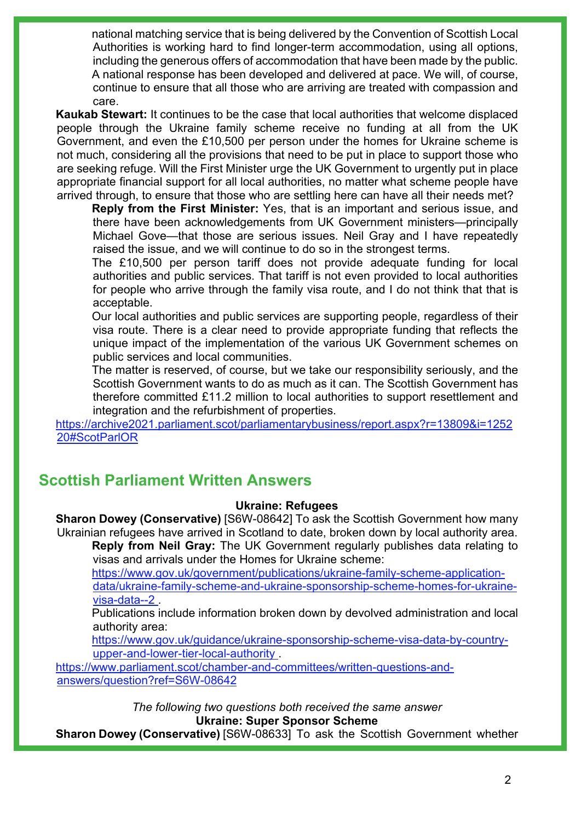national matching service that is being delivered by the Convention of Scottish Local Authorities is working hard to find longer-term accommodation, using all options, including the generous offers of accommodation that have been made by the public. A national response has been developed and delivered at pace. We will, of course, continue to ensure that all those who are arriving are treated with compassion and care.

**Kaukab Stewart:** It continues to be the case that local authorities that welcome displaced people through the Ukraine family scheme receive no funding at all from the UK Government, and even the £10,500 per person under the homes for Ukraine scheme is not much, considering all the provisions that need to be put in place to support those who are seeking refuge. Will the First Minister urge the UK Government to urgently put in place appropriate financial support for all local authorities, no matter what scheme people have arrived through, to ensure that those who are settling here can have all their needs met?

**Reply from the First Minister:** Yes, that is an important and serious issue, and there have been acknowledgements from UK Government ministers—principally Michael Gove—that those are serious issues. Neil Gray and I have repeatedly raised the issue, and we will continue to do so in the strongest terms.

The £10,500 per person tariff does not provide adequate funding for local authorities and public services. That tariff is not even provided to local authorities for people who arrive through the family visa route, and I do not think that that is acceptable.

Our local authorities and public services are supporting people, regardless of their visa route. There is a clear need to provide appropriate funding that reflects the unique impact of the implementation of the various UK Government schemes on public services and local communities.

The matter is reserved, of course, but we take our responsibility seriously, and the Scottish Government wants to do as much as it can. The Scottish Government has therefore committed £11.2 million to local authorities to support resettlement and integration and the refurbishment of properties.

[https://archive2021.parliament.scot/parliamentarybusiness/report.aspx?r=13809&i=1252](https://archive2021.parliament.scot/parliamentarybusiness/report.aspx?r=13809&i=125220#ScotParlOR) [20#ScotParlOR](https://archive2021.parliament.scot/parliamentarybusiness/report.aspx?r=13809&i=125220#ScotParlOR)

# **Scottish Parliament Written Answers**

### **Ukraine: Refugees**

**Sharon Dowey (Conservative)** [S6W-08642] To ask the Scottish Government how many Ukrainian refugees have arrived in Scotland to date, broken down by local authority area. **Reply from Neil Gray:** The UK Government regularly publishes data relating to

visas and arrivals under the Homes for Ukraine scheme:

[https://www.gov.uk/government/publications/ukraine-family-scheme-application](https://www.gov.uk/government/publications/ukraine-family-scheme-application-data/ukraine-family-scheme-and-ukraine-sponsorship-scheme-homes-for-ukraine-visa-data--2%C2%A0)[data/ukraine-family-scheme-and-ukraine-sponsorship-scheme-homes-for-ukraine](https://www.gov.uk/government/publications/ukraine-family-scheme-application-data/ukraine-family-scheme-and-ukraine-sponsorship-scheme-homes-for-ukraine-visa-data--2%C2%A0)[visa-data--2 .](https://www.gov.uk/government/publications/ukraine-family-scheme-application-data/ukraine-family-scheme-and-ukraine-sponsorship-scheme-homes-for-ukraine-visa-data--2%C2%A0)

Publications include information broken down by devolved administration and local authority area:

[https://www.gov.uk/guidance/ukraine-sponsorship-scheme-visa-data-by-country](https://www.gov.uk/guidance/ukraine-sponsorship-scheme-visa-data-by-country-upper-and-lower-tier-local-authority%C2%A0)[upper-and-lower-tier-local-authority](https://www.gov.uk/guidance/ukraine-sponsorship-scheme-visa-data-by-country-upper-and-lower-tier-local-authority%C2%A0) .

[https://www.parliament.scot/chamber-and-committees/written-questions-and](https://www.parliament.scot/chamber-and-committees/written-questions-and-answers/question?ref=S6W-08642)[answers/question?ref=S6W-08642](https://www.parliament.scot/chamber-and-committees/written-questions-and-answers/question?ref=S6W-08642) 

> *The following two questions both received the same answer* **Ukraine: Super Sponsor Scheme**

**Sharon Dowey (Conservative)** [S6W-08633] To ask the Scottish Government whether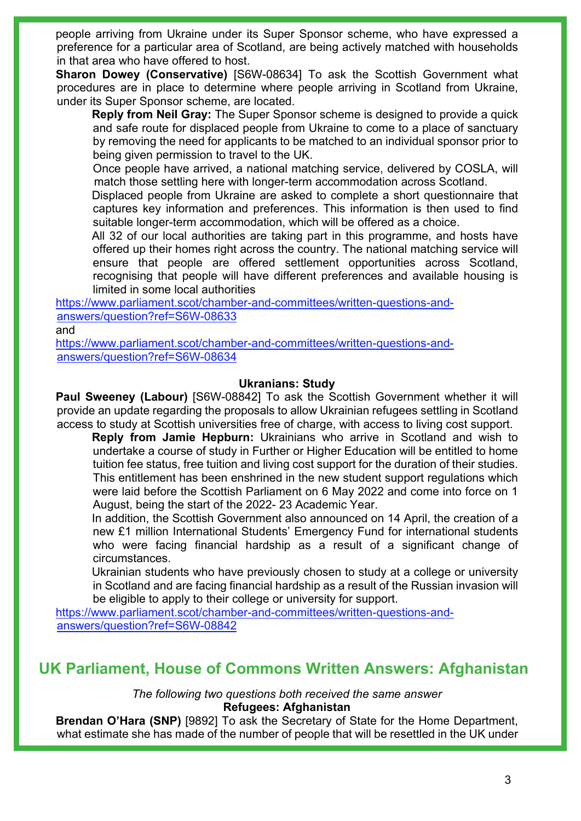people arriving from Ukraine under its Super Sponsor scheme, who have expressed a preference for a particular area of Scotland, are being actively matched with households in that area who have offered to host.

**Sharon Dowey (Conservative)** [S6W-08634] To ask the Scottish Government what procedures are in place to determine where people arriving in Scotland from Ukraine, under its Super Sponsor scheme, are located.

**Reply from Neil Gray:** The Super Sponsor scheme is designed to provide a quick and safe route for displaced people from Ukraine to come to a place of sanctuary by removing the need for applicants to be matched to an individual sponsor prior to being given permission to travel to the UK.

Once people have arrived, a national matching service, delivered by COSLA, will match those settling here with longer-term accommodation across Scotland.

Displaced people from Ukraine are asked to complete a short questionnaire that captures key information and preferences. This information is then used to find suitable longer-term accommodation, which will be offered as a choice.

All 32 of our local authorities are taking part in this programme, and hosts have offered up their homes right across the country. The national matching service will ensure that people are offered settlement opportunities across Scotland, recognising that people will have different preferences and available housing is limited in some local authorities

[https://www.parliament.scot/chamber-and-committees/written-questions-and](https://www.parliament.scot/chamber-and-committees/written-questions-and-answers/question?ref=S6W-08633)[answers/question?ref=S6W-08633](https://www.parliament.scot/chamber-and-committees/written-questions-and-answers/question?ref=S6W-08633)

and

[https://www.parliament.scot/chamber-and-committees/written-questions-and](https://www.parliament.scot/chamber-and-committees/written-questions-and-answers/question?ref=S6W-08634)[answers/question?ref=S6W-08634](https://www.parliament.scot/chamber-and-committees/written-questions-and-answers/question?ref=S6W-08634) 

### **Ukranians: Study**

**Paul Sweeney (Labour)** [S6W-08842] To ask the Scottish Government whether it will provide an update regarding the proposals to allow Ukrainian refugees settling in Scotland access to study at Scottish universities free of charge, with access to living cost support.

**Reply from Jamie Hepburn:** Ukrainians who arrive in Scotland and wish to undertake a course of study in Further or Higher Education will be entitled to home tuition fee status, free tuition and living cost support for the duration of their studies. This entitlement has been enshrined in the new student support regulations which were laid before the Scottish Parliament on 6 May 2022 and come into force on 1 August, being the start of the 2022- 23 Academic Year.

In addition, the Scottish Government also announced on 14 April, the creation of a new £1 million International Students' Emergency Fund for international students who were facing financial hardship as a result of a significant change of circumstances.

Ukrainian students who have previously chosen to study at a college or university in Scotland and are facing financial hardship as a result of the Russian invasion will be eligible to apply to their college or university for support.

[https://www.parliament.scot/chamber-and-committees/written-questions-and](https://www.parliament.scot/chamber-and-committees/written-questions-and-answers/question?ref=S6W-08842)[answers/question?ref=S6W-08842](https://www.parliament.scot/chamber-and-committees/written-questions-and-answers/question?ref=S6W-08842)

# **UK Parliament, House of Commons Written Answers: Afghanistan**

*The following two questions both received the same answer* **Refugees: Afghanistan**

**Brendan O'Hara (SNP)** [9892] To ask the Secretary of State for the Home Department, what estimate she has made of the number of people that will be resettled in the UK under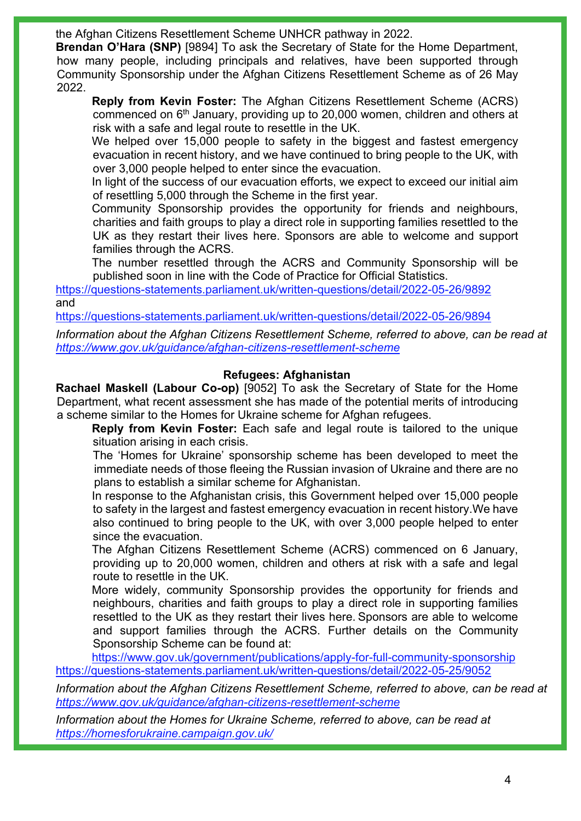the Afghan Citizens Resettlement Scheme UNHCR pathway in 2022.

**Brendan O'Hara (SNP)** [9894] To ask the Secretary of State for the Home Department, how many people, including principals and relatives, have been supported through Community Sponsorship under the Afghan Citizens Resettlement Scheme as of 26 May 2022.

**Reply from Kevin Foster:** The Afghan Citizens Resettlement Scheme (ACRS) commenced on 6th January, providing up to 20,000 women, children and others at risk with a safe and legal route to resettle in the UK.

We helped over 15,000 people to safety in the biggest and fastest emergency evacuation in recent history, and we have continued to bring people to the UK, with over 3,000 people helped to enter since the evacuation.

In light of the success of our evacuation efforts, we expect to exceed our initial aim of resettling 5,000 through the Scheme in the first year.

Community Sponsorship provides the opportunity for friends and neighbours, charities and faith groups to play a direct role in supporting families resettled to the UK as they restart their lives here. Sponsors are able to welcome and support families through the ACRS.

The number resettled through the ACRS and Community Sponsorship will be published soon in line with the Code of Practice for Official Statistics.

<https://questions-statements.parliament.uk/written-questions/detail/2022-05-26/9892> and

<https://questions-statements.parliament.uk/written-questions/detail/2022-05-26/9894>

*Information about the Afghan Citizens Resettlement Scheme, referred to above, can be read at <https://www.gov.uk/guidance/afghan-citizens-resettlement-scheme>*

### **Refugees: Afghanistan**

**Rachael Maskell (Labour Co-op)** [9052] To ask the Secretary of State for the Home Department, what recent assessment she has made of the potential merits of introducing a scheme similar to the Homes for Ukraine scheme for Afghan refugees.

**Reply from Kevin Foster:** Each safe and legal route is tailored to the unique situation arising in each crisis.

The 'Homes for Ukraine' sponsorship scheme has been developed to meet the immediate needs of those fleeing the Russian invasion of Ukraine and there are no plans to establish a similar scheme for Afghanistan.

In response to the Afghanistan crisis, this Government helped over 15,000 people to safety in the largest and fastest emergency evacuation in recent history.We have also continued to bring people to the UK, with over 3,000 people helped to enter since the evacuation.

The Afghan Citizens Resettlement Scheme (ACRS) commenced on 6 January, providing up to 20,000 women, children and others at risk with a safe and legal route to resettle in the UK.

More widely, community Sponsorship provides the opportunity for friends and neighbours, charities and faith groups to play a direct role in supporting families resettled to the UK as they restart their lives here. Sponsors are able to welcome and support families through the ACRS. Further details on the Community Sponsorship Scheme can be found at:

<https://www.gov.uk/government/publications/apply-for-full-community-sponsorship> <https://questions-statements.parliament.uk/written-questions/detail/2022-05-25/9052>

*Information about the Afghan Citizens Resettlement Scheme, referred to above, can be read at <https://www.gov.uk/guidance/afghan-citizens-resettlement-scheme>*

*Information about the Homes for Ukraine Scheme, referred to above, can be read at <https://homesforukraine.campaign.gov.uk/>*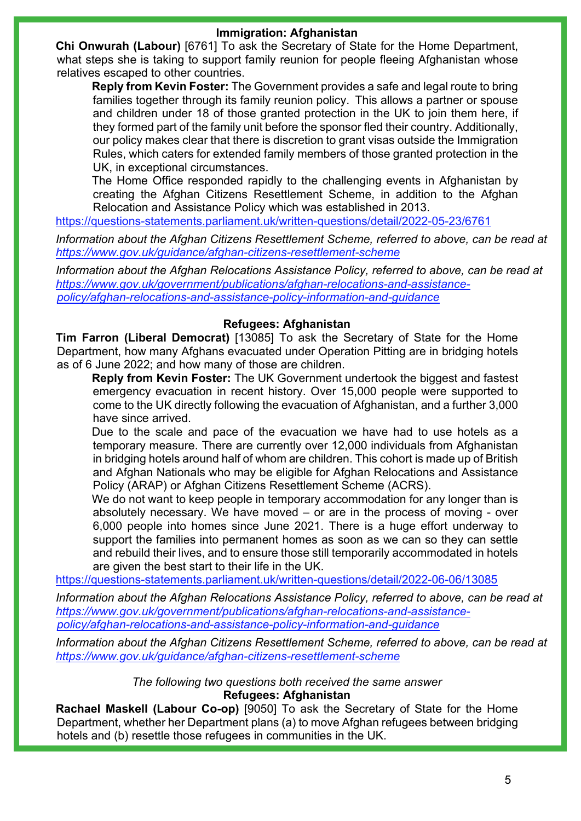### **Immigration: Afghanistan**

**Chi Onwurah (Labour)** [6761] To ask the Secretary of State for the Home Department, what steps she is taking to support family reunion for people fleeing Afghanistan whose relatives escaped to other countries.

**Reply from Kevin Foster:** The Government provides a safe and legal route to bring families together through its family reunion policy.  This allows a partner or spouse and children under 18 of those granted protection in the UK to join them here, if they formed part of the family unit before the sponsor fled their country. Additionally, our policy makes clear that there is discretion to grant visas outside the Immigration Rules, which caters for extended family members of those granted protection in the UK, in exceptional circumstances.

The Home Office responded rapidly to the challenging events in Afghanistan by creating the Afghan Citizens Resettlement Scheme, in addition to the Afghan Relocation and Assistance Policy which was established in 2013.

<https://questions-statements.parliament.uk/written-questions/detail/2022-05-23/6761>

*Information about the Afghan Citizens Resettlement Scheme, referred to above, can be read at <https://www.gov.uk/guidance/afghan-citizens-resettlement-scheme>*

*Information about the Afghan Relocations Assistance Policy, referred to above, can be read at [https://www.gov.uk/government/publications/afghan-relocations-and-assistance](https://www.gov.uk/government/publications/afghan-relocations-and-assistance-policy/afghan-relocations-and-assistance-policy-information-and-guidance)[policy/afghan-relocations-and-assistance-policy-information-and-guidance](https://www.gov.uk/government/publications/afghan-relocations-and-assistance-policy/afghan-relocations-and-assistance-policy-information-and-guidance)*

### **Refugees: Afghanistan**

**Tim Farron (Liberal Democrat)** [13085] To ask the Secretary of State for the Home Department, how many Afghans evacuated under Operation Pitting are in bridging hotels as of 6 June 2022; and how many of those are children.

**Reply from Kevin Foster:** The UK Government undertook the biggest and fastest emergency evacuation in recent history. Over 15,000 people were supported to come to the UK directly following the evacuation of Afghanistan, and a further 3,000 have since arrived.

Due to the scale and pace of the evacuation we have had to use hotels as a temporary measure. There are currently over 12,000 individuals from Afghanistan in bridging hotels around half of whom are children. This cohort is made up of British and Afghan Nationals who may be eligible for Afghan Relocations and Assistance Policy (ARAP) or Afghan Citizens Resettlement Scheme (ACRS).

We do not want to keep people in temporary accommodation for any longer than is absolutely necessary. We have moved – or are in the process of moving - over 6,000 people into homes since June 2021. There is a huge effort underway to support the families into permanent homes as soon as we can so they can settle and rebuild their lives, and to ensure those still temporarily accommodated in hotels are given the best start to their life in the UK.

<https://questions-statements.parliament.uk/written-questions/detail/2022-06-06/13085>

*Information about the Afghan Relocations Assistance Policy, referred to above, can be read at [https://www.gov.uk/government/publications/afghan-relocations-and-assistance](https://www.gov.uk/government/publications/afghan-relocations-and-assistance-policy/afghan-relocations-and-assistance-policy-information-and-guidance)[policy/afghan-relocations-and-assistance-policy-information-and-guidance](https://www.gov.uk/government/publications/afghan-relocations-and-assistance-policy/afghan-relocations-and-assistance-policy-information-and-guidance)*

*Information about the Afghan Citizens Resettlement Scheme, referred to above, can be read at <https://www.gov.uk/guidance/afghan-citizens-resettlement-scheme>*

> *The following two questions both received the same answer* **Refugees: Afghanistan**

**Rachael Maskell (Labour Co-op)** [9050] To ask the Secretary of State for the Home Department, whether her Department plans (a) to move Afghan refugees between bridging hotels and (b) resettle those refugees in communities in the UK.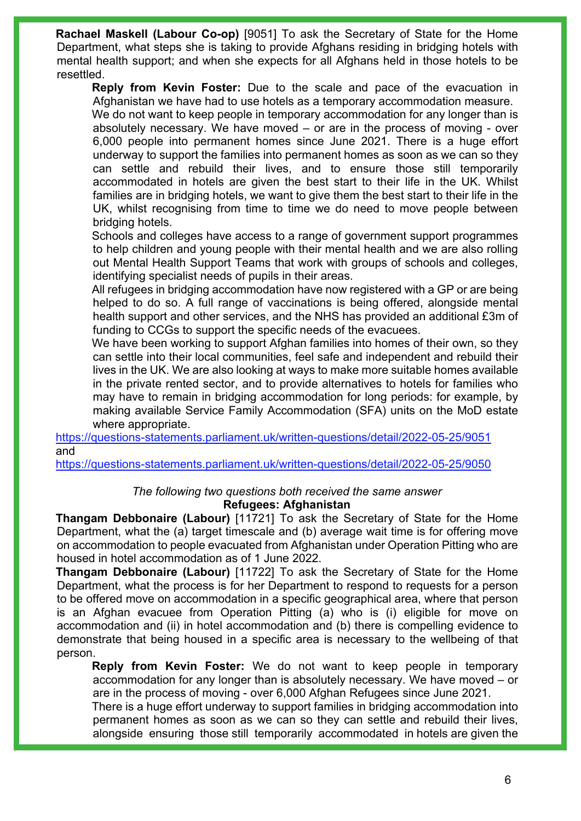**Rachael Maskell (Labour Co-op)** [9051] To ask the Secretary of State for the Home Department, what steps she is taking to provide Afghans residing in bridging hotels with mental health support; and when she expects for all Afghans held in those hotels to be resettled.

**Reply from Kevin Foster:** Due to the scale and pace of the evacuation in Afghanistan we have had to use hotels as a temporary accommodation measure. We do not want to keep people in temporary accommodation for any longer than is absolutely necessary. We have moved – or are in the process of moving - over 6,000 people into permanent homes since June 2021. There is a huge effort underway to support the families into permanent homes as soon as we can so they can settle and rebuild their lives, and to ensure those still temporarily

accommodated in hotels are given the best start to their life in the UK. Whilst families are in bridging hotels, we want to give them the best start to their life in the UK, whilst recognising from time to time we do need to move people between bridging hotels.

Schools and colleges have access to a range of government support programmes to help children and young people with their mental health and we are also rolling out Mental Health Support Teams that work with groups of schools and colleges, identifying specialist needs of pupils in their areas.

All refugees in bridging accommodation have now registered with a GP or are being helped to do so. A full range of vaccinations is being offered, alongside mental health support and other services, and the NHS has provided an additional £3m of funding to CCGs to support the specific needs of the evacuees.

We have been working to support Afghan families into homes of their own, so they can settle into their local communities, feel safe and independent and rebuild their lives in the UK. We are also looking at ways to make more suitable homes available in the private rented sector, and to provide alternatives to hotels for families who may have to remain in bridging accommodation for long periods: for example, by making available Service Family Accommodation (SFA) units on the MoD estate where appropriate.

<https://questions-statements.parliament.uk/written-questions/detail/2022-05-25/9051> and

<https://questions-statements.parliament.uk/written-questions/detail/2022-05-25/9050>

### *The following two questions both received the same answer* **Refugees: Afghanistan**

**Thangam Debbonaire (Labour)** [11721] To ask the Secretary of State for the Home Department, what the (a) target timescale and (b) average wait time is for offering move on accommodation to people evacuated from Afghanistan under Operation Pitting who are housed in hotel accommodation as of 1 June 2022.

**Thangam Debbonaire (Labour)** [11722] To ask the Secretary of State for the Home Department, what the process is for her Department to respond to requests for a person to be offered move on accommodation in a specific geographical area, where that person is an Afghan evacuee from Operation Pitting (a) who is (i) eligible for move on accommodation and (ii) in hotel accommodation and (b) there is compelling evidence to demonstrate that being housed in a specific area is necessary to the wellbeing of that person.

**Reply from Kevin Foster:** We do not want to keep people in temporary accommodation for any longer than is absolutely necessary. We have moved – or are in the process of moving - over 6,000 Afghan Refugees since June 2021.

There is a huge effort underway to support families in bridging accommodation into permanent homes as soon as we can so they can settle and rebuild their lives, alongside ensuring those still temporarily accommodated in hotels are given the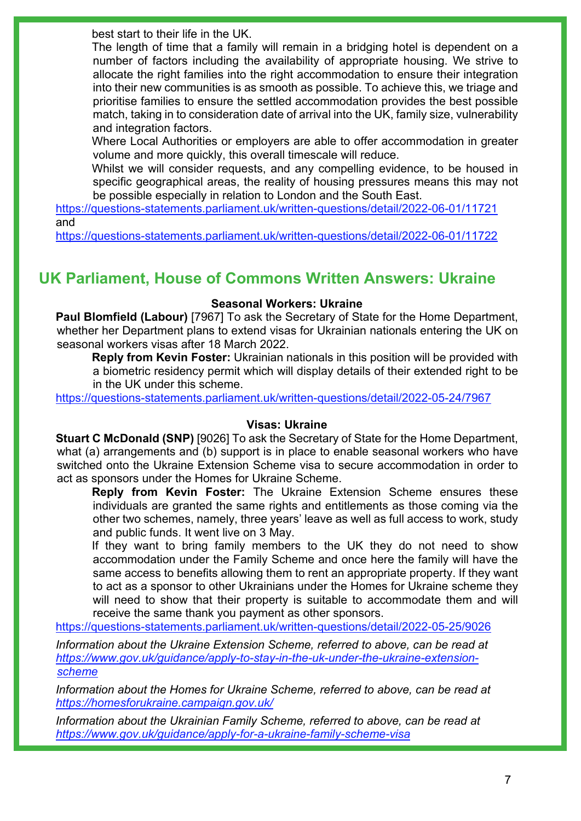best start to their life in the UK.

The length of time that a family will remain in a bridging hotel is dependent on a number of factors including the availability of appropriate housing. We strive to allocate the right families into the right accommodation to ensure their integration into their new communities is as smooth as possible. To achieve this, we triage and prioritise families to ensure the settled accommodation provides the best possible match, taking in to consideration date of arrival into the UK, family size, vulnerability and integration factors.

Where Local Authorities or employers are able to offer accommodation in greater volume and more quickly, this overall timescale will reduce.

Whilst we will consider requests, and any compelling evidence, to be housed in specific geographical areas, the reality of housing pressures means this may not be possible especially in relation to London and the South East.

<https://questions-statements.parliament.uk/written-questions/detail/2022-06-01/11721> and

<https://questions-statements.parliament.uk/written-questions/detail/2022-06-01/11722>

# **UK Parliament, House of Commons Written Answers: Ukraine**

### **Seasonal Workers: Ukraine**

**Paul Blomfield (Labour)** [7967] To ask the Secretary of State for the Home Department, whether her Department plans to extend visas for Ukrainian nationals entering the UK on seasonal workers visas after 18 March 2022.

**Reply from Kevin Foster:** Ukrainian nationals in this position will be provided with a biometric residency permit which will display details of their extended right to be in the UK under this scheme.

<https://questions-statements.parliament.uk/written-questions/detail/2022-05-24/7967>

#### **Visas: Ukraine**

**Stuart C McDonald (SNP)** [9026] To ask the Secretary of State for the Home Department, what (a) arrangements and (b) support is in place to enable seasonal workers who have switched onto the Ukraine Extension Scheme visa to secure accommodation in order to act as sponsors under the Homes for Ukraine Scheme.

**Reply from Kevin Foster:** The Ukraine Extension Scheme ensures these individuals are granted the same rights and entitlements as those coming via the other two schemes, namely, three years' leave as well as full access to work, study and public funds. It went live on 3 May.

If they want to bring family members to the UK they do not need to show accommodation under the Family Scheme and once here the family will have the same access to benefits allowing them to rent an appropriate property. If they want to act as a sponsor to other Ukrainians under the Homes for Ukraine scheme they will need to show that their property is suitable to accommodate them and will receive the same thank you payment as other sponsors.

<https://questions-statements.parliament.uk/written-questions/detail/2022-05-25/9026>

*Information about the Ukraine Extension Scheme, referred to above, can be read at [https://www.gov.uk/guidance/apply-to-stay-in-the-uk-under-the-ukraine-extension](https://www.gov.uk/guidance/apply-to-stay-in-the-uk-under-the-ukraine-extension-scheme)[scheme](https://www.gov.uk/guidance/apply-to-stay-in-the-uk-under-the-ukraine-extension-scheme)*

*Information about the Homes for Ukraine Scheme, referred to above, can be read at <https://homesforukraine.campaign.gov.uk/>*

*Information about the Ukrainian Family Scheme, referred to above, can be read at <https://www.gov.uk/guidance/apply-for-a-ukraine-family-scheme-visa>*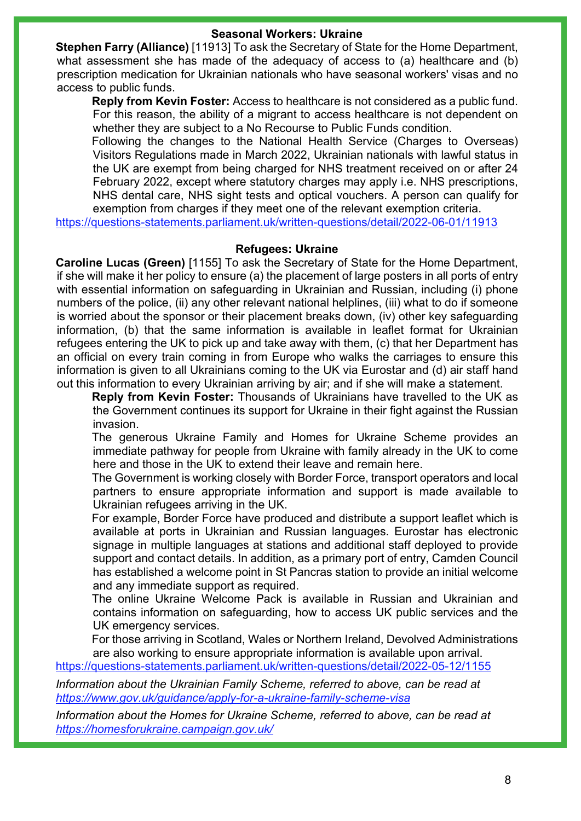#### **Seasonal Workers: Ukraine**

**Stephen Farry (Alliance)** [11913] To ask the Secretary of State for the Home Department, what assessment she has made of the adequacy of access to (a) healthcare and (b) prescription medication for Ukrainian nationals who have seasonal workers' visas and no access to public funds.

**Reply from Kevin Foster:** Access to healthcare is not considered as a public fund. For this reason, the ability of a migrant to access healthcare is not dependent on whether they are subject to a No Recourse to Public Funds condition.

Following the changes to the National Health Service (Charges to Overseas) Visitors Regulations made in March 2022, Ukrainian nationals with lawful status in the UK are exempt from being charged for NHS treatment received on or after 24 February 2022, except where statutory charges may apply i.e. NHS prescriptions, NHS dental care, NHS sight tests and optical vouchers. A person can qualify for exemption from charges if they meet one of the relevant exemption criteria.

<https://questions-statements.parliament.uk/written-questions/detail/2022-06-01/11913>

#### **Refugees: Ukraine**

**Caroline Lucas (Green)** [1155] To ask the Secretary of State for the Home Department, if she will make it her policy to ensure (a) the placement of large posters in all ports of entry with essential information on safeguarding in Ukrainian and Russian, including (i) phone numbers of the police, (ii) any other relevant national helplines, (iii) what to do if someone is worried about the sponsor or their placement breaks down, (iv) other key safeguarding information, (b) that the same information is available in leaflet format for Ukrainian refugees entering the UK to pick up and take away with them, (c) that her Department has an official on every train coming in from Europe who walks the carriages to ensure this information is given to all Ukrainians coming to the UK via Eurostar and (d) air staff hand out this information to every Ukrainian arriving by air; and if she will make a statement.

**Reply from Kevin Foster:** Thousands of Ukrainians have travelled to the UK as the Government continues its support for Ukraine in their fight against the Russian invasion.

The generous Ukraine Family and Homes for Ukraine Scheme provides an immediate pathway for people from Ukraine with family already in the UK to come here and those in the UK to extend their leave and remain here.

The Government is working closely with Border Force, transport operators and local partners to ensure appropriate information and support is made available to Ukrainian refugees arriving in the UK.

For example, Border Force have produced and distribute a support leaflet which is available at ports in Ukrainian and Russian languages. Eurostar has electronic signage in multiple languages at stations and additional staff deployed to provide support and contact details. In addition, as a primary port of entry, Camden Council has established a welcome point in St Pancras station to provide an initial welcome and any immediate support as required.

The online Ukraine Welcome Pack is available in Russian and Ukrainian and contains information on safeguarding, how to access UK public services and the UK emergency services.

For those arriving in Scotland, Wales or Northern Ireland, Devolved Administrations are also working to ensure appropriate information is available upon arrival.

<https://questions-statements.parliament.uk/written-questions/detail/2022-05-12/1155>

*Information about the Ukrainian Family Scheme, referred to above, can be read at <https://www.gov.uk/guidance/apply-for-a-ukraine-family-scheme-visa>*

*Information about the Homes for Ukraine Scheme, referred to above, can be read at <https://homesforukraine.campaign.gov.uk/>*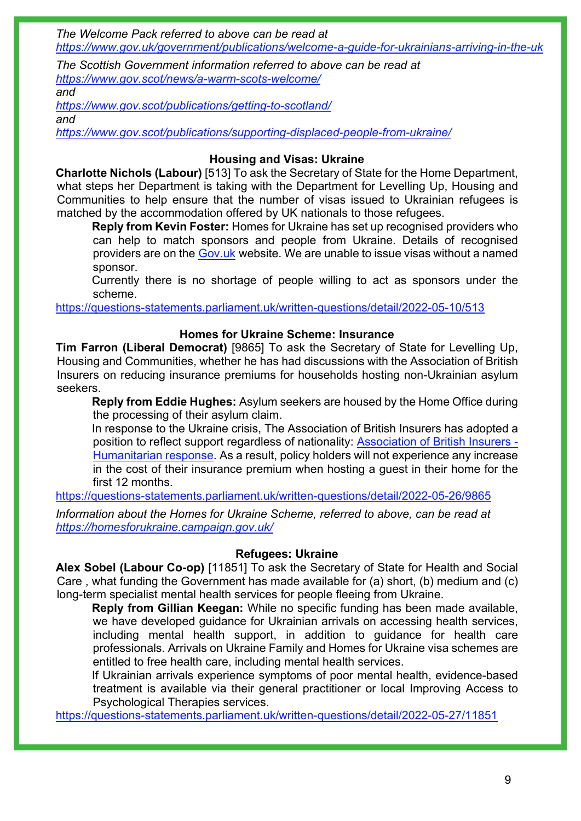*The Welcome Pack referred to above can be read at <https://www.gov.uk/government/publications/welcome-a-guide-for-ukrainians-arriving-in-the-uk>*

*The Scottish Government information referred to above can be read at <https://www.gov.scot/news/a-warm-scots-welcome/>*

*and*

*<https://www.gov.scot/publications/getting-to-scotland/> and*

*<https://www.gov.scot/publications/supporting-displaced-people-from-ukraine/>*

### **Housing and Visas: Ukraine**

**Charlotte Nichols (Labour)** [513] To ask the Secretary of State for the Home Department, what steps her Department is taking with the Department for Levelling Up, Housing and Communities to help ensure that the number of visas issued to Ukrainian refugees is matched by the accommodation offered by UK nationals to those refugees.

**Reply from Kevin Foster:** Homes for Ukraine has set up recognised providers who can help to match sponsors and people from Ukraine. Details of recognised providers are on the [Gov.uk](https://gbr01.safelinks.protection.outlook.com/?url=https%3A%2F%2Fwww.gov.uk%2Fguidance%2Frecognised-providers-organisations-who-can-help-guests-from-ukraine-find-sponsors-in-the-uk&data=05%7C01%7CHazel.Reid3%40homeoffice.gov.uk%7C4ab5d2922fea4471b4ce08da3a65c0d4%7Cf24d93ecb2914192a08af182245945c2%7C0%7C0%7C637886505935044132%7CUnknown%7CTWFpbGZsb3d8eyJWIjoiMC4wLjAwMDAiLCJQIjoiV2luMzIiLCJBTiI6Ik1haWwiLCJXVCI6Mn0%3D%7C3000%7C%7C%7C&sdata=b4QvqBfZgCa491BSRPOM3Osn4nEcLxkqbbKI9omVcdw%3D&reserved=0) website. We are unable to issue visas without a named sponsor.

Currently there is no shortage of people willing to act as sponsors under the scheme.

<https://questions-statements.parliament.uk/written-questions/detail/2022-05-10/513>

### **Homes for Ukraine Scheme: Insurance**

**Tim Farron (Liberal Democrat)** [9865] To ask the Secretary of State for Levelling Up, Housing and Communities, whether he has had discussions with the Association of British Insurers on reducing insurance premiums for households hosting non-Ukrainian asylum seekers.

**Reply from Eddie Hughes:** Asylum seekers are housed by the Home Office during the processing of their asylum claim.

In response to the Ukraine crisis, The Association of British Insurers has adopted a position to reflect support regardless of nationality: [Association of British Insurers -](https://gbr01.safelinks.protection.outlook.com/?url=https%3A%2F%2Fwww.abi.org.uk%2Fproducts-and-issues%2Ftopics-and-issues%2Fukraine-crisis%2F%23%3A%7E%3Atext%3DHousing%2520refugees%2Cother%2520conflict%2520in%2520the%2520world&data=05%7C01%7CParliamentary%40levellingup.gov.uk%7C302dc4607d464842381408da4aedd431%7Cbf3468109c7d43dea87224a2ef3995a8%7C0%7C0%7C637904682559897826%7CUnknown%7CTWFpbGZsb3d8eyJWIjoiMC4wLjAwMDAiLCJQIjoiV2luMzIiLCJBTiI6Ik1haWwiLCJXVCI6Mn0%3D%7C3000%7C%7C%7C&sdata=VJjtfUpGV5pAb3FEmzscQj22w0%2BqqnTDnWLvMUvGuIU%3D&reserved=0)  [Humanitarian response.](https://gbr01.safelinks.protection.outlook.com/?url=https%3A%2F%2Fwww.abi.org.uk%2Fproducts-and-issues%2Ftopics-and-issues%2Fukraine-crisis%2F%23%3A%7E%3Atext%3DHousing%2520refugees%2Cother%2520conflict%2520in%2520the%2520world&data=05%7C01%7CParliamentary%40levellingup.gov.uk%7C302dc4607d464842381408da4aedd431%7Cbf3468109c7d43dea87224a2ef3995a8%7C0%7C0%7C637904682559897826%7CUnknown%7CTWFpbGZsb3d8eyJWIjoiMC4wLjAwMDAiLCJQIjoiV2luMzIiLCJBTiI6Ik1haWwiLCJXVCI6Mn0%3D%7C3000%7C%7C%7C&sdata=VJjtfUpGV5pAb3FEmzscQj22w0%2BqqnTDnWLvMUvGuIU%3D&reserved=0) As a result, policy holders will not experience any increase in the cost of their insurance premium when hosting a guest in their home for the first 12 months.

<https://questions-statements.parliament.uk/written-questions/detail/2022-05-26/9865>

*Information about the Homes for Ukraine Scheme, referred to above, can be read at <https://homesforukraine.campaign.gov.uk/>*

### **Refugees: Ukraine**

**Alex Sobel (Labour Co-op)** [11851] To ask the Secretary of State for Health and Social Care , what funding the Government has made available for (a) short, (b) medium and (c) long-term specialist mental health services for people fleeing from Ukraine.

**Reply from Gillian Keegan:** While no specific funding has been made available, we have developed guidance for Ukrainian arrivals on accessing health services, including mental health support, in addition to guidance for health care professionals. Arrivals on Ukraine Family and Homes for Ukraine visa schemes are entitled to free health care, including mental health services.

If Ukrainian arrivals experience symptoms of poor mental health, evidence-based treatment is available via their general practitioner or local Improving Access to Psychological Therapies services.

<https://questions-statements.parliament.uk/written-questions/detail/2022-05-27/11851>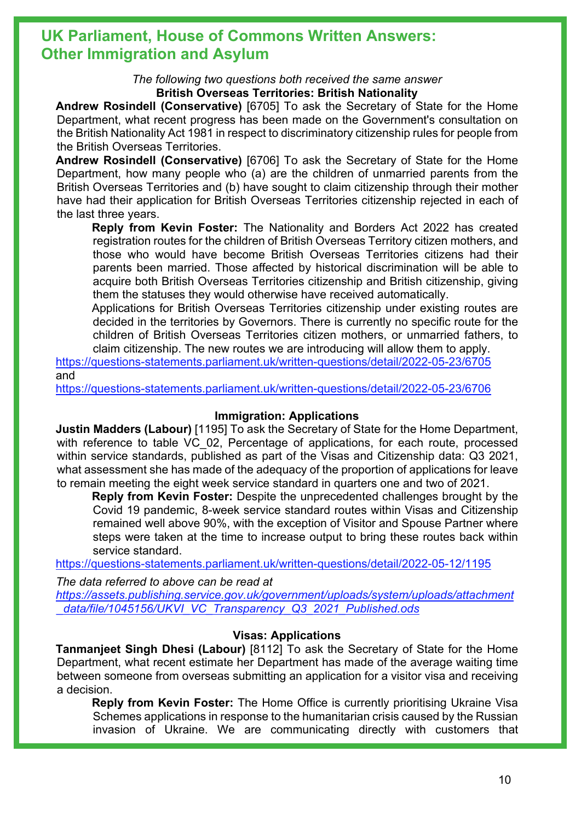# **UK Parliament, House of Commons Written Answers: Other Immigration and Asylum**

*The following two questions both received the same answer* **British Overseas Territories: British Nationality**

**Andrew Rosindell (Conservative)** [6705] To ask the Secretary of State for the Home Department, what recent progress has been made on the Government's consultation on the British Nationality Act 1981 in respect to discriminatory citizenship rules for people from the British Overseas Territories.

**Andrew Rosindell (Conservative)** [6706] To ask the Secretary of State for the Home Department, how many people who (a) are the children of unmarried parents from the British Overseas Territories and (b) have sought to claim citizenship through their mother have had their application for British Overseas Territories citizenship rejected in each of the last three years.

**Reply from Kevin Foster:** The Nationality and Borders Act 2022 has created registration routes for the children of British Overseas Territory citizen mothers, and those who would have become British Overseas Territories citizens had their parents been married. Those affected by historical discrimination will be able to acquire both British Overseas Territories citizenship and British citizenship, giving them the statuses they would otherwise have received automatically.

Applications for British Overseas Territories citizenship under existing routes are decided in the territories by Governors. There is currently no specific route for the children of British Overseas Territories citizen mothers, or unmarried fathers, to claim citizenship. The new routes we are introducing will allow them to apply.

<https://questions-statements.parliament.uk/written-questions/detail/2022-05-23/6705> and

<https://questions-statements.parliament.uk/written-questions/detail/2022-05-23/6706>

### **Immigration: Applications**

**Justin Madders (Labour)** [1195] To ask the Secretary of State for the Home Department, with reference to table VC 02, Percentage of applications, for each route, processed within service standards, published as part of the Visas and Citizenship data: Q3 2021, what assessment she has made of the adequacy of the proportion of applications for leave to remain meeting the eight week service standard in quarters one and two of 2021.

**Reply from Kevin Foster:** Despite the unprecedented challenges brought by the Covid 19 pandemic, 8-week service standard routes within Visas and Citizenship remained well above 90%, with the exception of Visitor and Spouse Partner where steps were taken at the time to increase output to bring these routes back within service standard.

<https://questions-statements.parliament.uk/written-questions/detail/2022-05-12/1195>

*The data referred to above can be read at [https://assets.publishing.service.gov.uk/government/uploads/system/uploads/attachment](https://assets.publishing.service.gov.uk/government/uploads/system/uploads/attachment_data/file/1045156/UKVI_VC_Transparency_Q3_2021_Published.ods) [\\_data/file/1045156/UKVI\\_VC\\_Transparency\\_Q3\\_2021\\_Published.ods](https://assets.publishing.service.gov.uk/government/uploads/system/uploads/attachment_data/file/1045156/UKVI_VC_Transparency_Q3_2021_Published.ods)*

## **Visas: Applications**

**Tanmanjeet Singh Dhesi (Labour)** [8112] To ask the Secretary of State for the Home Department, what recent estimate her Department has made of the average waiting time between someone from overseas submitting an application for a visitor visa and receiving a decision.

**Reply from Kevin Foster:** The Home Office is currently prioritising Ukraine Visa Schemes applications in response to the humanitarian crisis caused by the Russian invasion of Ukraine. We are communicating directly with customers that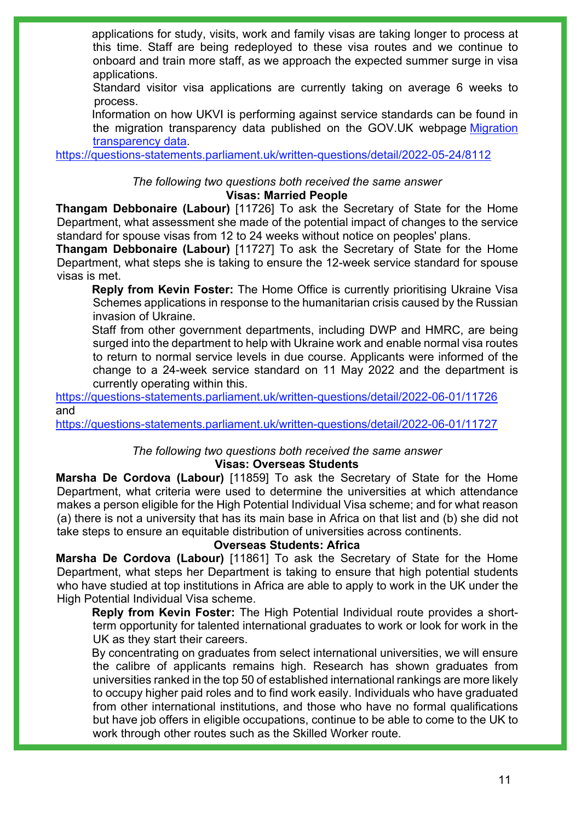applications for study, visits, work and family visas are taking longer to process at this time. Staff are being redeployed to these visa routes and we continue to onboard and train more staff, as we approach the expected summer surge in visa applications.

Standard visitor visa applications are currently taking on average 6 weeks to process.

Information on how UKVI is performing against service standards can be found in the migration transparency data published on the GOV.UK webpage [Migration](https://gbr01.safelinks.protection.outlook.com/?url=https%3A%2F%2Fwww.gov.uk%2Fgovernment%2Fcollections%2Fmigration-transparency-data%23uk-visas-and-immigration&data=05%7C01%7CKatherine.Clement-Evans%40homeoffice.gov.uk%7C2213c0c39930482193ea08da3e6d1dce%7Cf24d93ecb2914192a08af182245945c2%7C0%7C0%7C637890935610045534%7CUnknown%7CTWFpbGZsb3d8eyJWIjoiMC4wLjAwMDAiLCJQIjoiV2luMzIiLCJBTiI6Ik1haWwiLCJXVCI6Mn0%3D%7C3000%7C%7C%7C&sdata=d7aRkgngl2y8RPQ2q2WZnz6IyIWeyA88SJ%2FT5xjJRaI%3D&reserved=0)  [transparency data.](https://gbr01.safelinks.protection.outlook.com/?url=https%3A%2F%2Fwww.gov.uk%2Fgovernment%2Fcollections%2Fmigration-transparency-data%23uk-visas-and-immigration&data=05%7C01%7CKatherine.Clement-Evans%40homeoffice.gov.uk%7C2213c0c39930482193ea08da3e6d1dce%7Cf24d93ecb2914192a08af182245945c2%7C0%7C0%7C637890935610045534%7CUnknown%7CTWFpbGZsb3d8eyJWIjoiMC4wLjAwMDAiLCJQIjoiV2luMzIiLCJBTiI6Ik1haWwiLCJXVCI6Mn0%3D%7C3000%7C%7C%7C&sdata=d7aRkgngl2y8RPQ2q2WZnz6IyIWeyA88SJ%2FT5xjJRaI%3D&reserved=0)

<https://questions-statements.parliament.uk/written-questions/detail/2022-05-24/8112>

#### *The following two questions both received the same answer* **Visas: Married People**

**Thangam Debbonaire (Labour)** [11726] To ask the Secretary of State for the Home Department, what assessment she made of the potential impact of changes to the service standard for spouse visas from 12 to 24 weeks without notice on peoples' plans.

**Thangam Debbonaire (Labour)** [11727] To ask the Secretary of State for the Home Department, what steps she is taking to ensure the 12-week service standard for spouse visas is met.

**Reply from Kevin Foster:** The Home Office is currently prioritising Ukraine Visa Schemes applications in response to the humanitarian crisis caused by the Russian invasion of Ukraine.

Staff from other government departments, including DWP and HMRC, are being surged into the department to help with Ukraine work and enable normal visa routes to return to normal service levels in due course. Applicants were informed of the change to a 24-week service standard on 11 May 2022 and the department is currently operating within this.

<https://questions-statements.parliament.uk/written-questions/detail/2022-06-01/11726> and

<https://questions-statements.parliament.uk/written-questions/detail/2022-06-01/11727>

## *The following two questions both received the same answer*

### **Visas: Overseas Students**

**Marsha De Cordova (Labour)** [11859] To ask the Secretary of State for the Home Department, what criteria were used to determine the universities at which attendance makes a person eligible for the High Potential Individual Visa scheme; and for what reason (a) there is not a university that has its main base in Africa on that list and (b) she did not take steps to ensure an equitable distribution of universities across continents.

### **Overseas Students: Africa**

**Marsha De Cordova (Labour)** [11861] To ask the Secretary of State for the Home Department, what steps her Department is taking to ensure that high potential students who have studied at top institutions in Africa are able to apply to work in the UK under the High Potential Individual Visa scheme.

**Reply from Kevin Foster:** The High Potential Individual route provides a shortterm opportunity for talented international graduates to work or look for work in the UK as they start their careers.

By concentrating on graduates from select international universities, we will ensure the calibre of applicants remains high. Research has shown graduates from universities ranked in the top 50 of established international rankings are more likely to occupy higher paid roles and to find work easily. Individuals who have graduated from other international institutions, and those who have no formal qualifications but have job offers in eligible occupations, continue to be able to come to the UK to work through other routes such as the Skilled Worker route.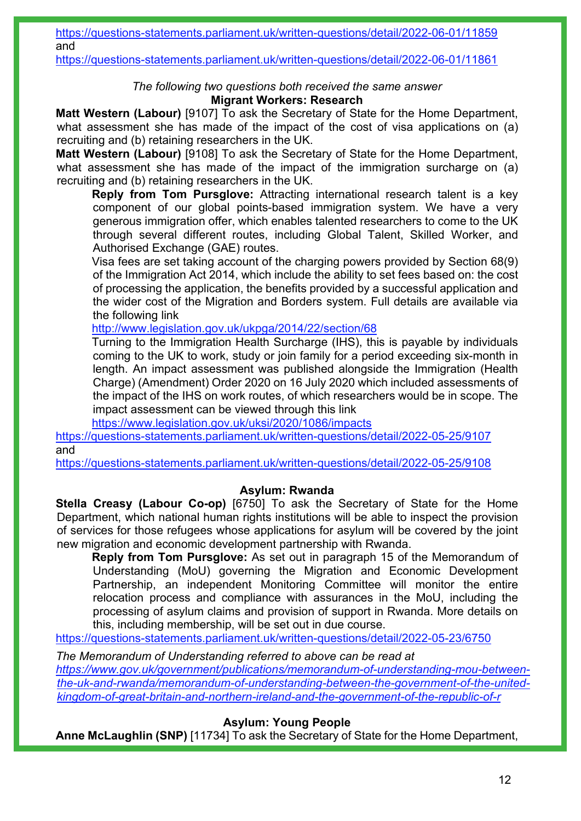<https://questions-statements.parliament.uk/written-questions/detail/2022-06-01/11861>

### *The following two questions both received the same answer* **Migrant Workers: Research**

**Matt Western (Labour)** [9107] To ask the Secretary of State for the Home Department, what assessment she has made of the impact of the cost of visa applications on (a) recruiting and (b) retaining researchers in the UK.

**Matt Western (Labour)** [9108] To ask the Secretary of State for the Home Department, what assessment she has made of the impact of the immigration surcharge on (a) recruiting and (b) retaining researchers in the UK.

**Reply from Tom Pursglove:** Attracting international research talent is a key component of our global points-based immigration system. We have a very generous immigration offer, which enables talented researchers to come to the UK through several different routes, including Global Talent, Skilled Worker, and Authorised Exchange (GAE) routes.

Visa fees are set taking account of the charging powers provided by Section 68(9) of the Immigration Act 2014, which include the ability to set fees based on: the cost of processing the application, the benefits provided by a successful application and the wider cost of the Migration and Borders system. Full details are available via the following link

<http://www.legislation.gov.uk/ukpga/2014/22/section/68>

Turning to the Immigration Health Surcharge (IHS), this is payable by individuals coming to the UK to work, study or join family for a period exceeding six-month in length. An impact assessment was published alongside the Immigration (Health Charge) (Amendment) Order 2020 on 16 July 2020 which included assessments of the impact of the IHS on work routes, of which researchers would be in scope. The impact assessment can be viewed through this link

<https://www.legislation.gov.uk/uksi/2020/1086/impacts>

<https://questions-statements.parliament.uk/written-questions/detail/2022-05-25/9107> and

<https://questions-statements.parliament.uk/written-questions/detail/2022-05-25/9108>

## **Asylum: Rwanda**

**Stella Creasy (Labour Co-op)** [6750] To ask the Secretary of State for the Home Department, which national human rights institutions will be able to inspect the provision of services for those refugees whose applications for asylum will be covered by the joint new migration and economic development partnership with Rwanda.

**Reply from Tom Pursglove:** As set out in paragraph 15 of the Memorandum of Understanding (MoU) governing the Migration and Economic Development Partnership, an independent Monitoring Committee will monitor the entire relocation process and compliance with assurances in the MoU, including the processing of asylum claims and provision of support in Rwanda. More details on this, including membership, will be set out in due course.

<https://questions-statements.parliament.uk/written-questions/detail/2022-05-23/6750>

*The Memorandum of Understanding referred to above can be read at [https://www.gov.uk/government/publications/memorandum-of-understanding-mou-between](https://www.gov.uk/government/publications/memorandum-of-understanding-mou-between-the-uk-and-rwanda/memorandum-of-understanding-between-the-government-of-the-united-kingdom-of-great-britain-and-northern-ireland-and-the-government-of-the-republic-of-r)[the-uk-and-rwanda/memorandum-of-understanding-between-the-government-of-the-united](https://www.gov.uk/government/publications/memorandum-of-understanding-mou-between-the-uk-and-rwanda/memorandum-of-understanding-between-the-government-of-the-united-kingdom-of-great-britain-and-northern-ireland-and-the-government-of-the-republic-of-r)[kingdom-of-great-britain-and-northern-ireland-and-the-government-of-the-republic-of-r](https://www.gov.uk/government/publications/memorandum-of-understanding-mou-between-the-uk-and-rwanda/memorandum-of-understanding-between-the-government-of-the-united-kingdom-of-great-britain-and-northern-ireland-and-the-government-of-the-republic-of-r)*

## **Asylum: Young People**

**Anne McLaughlin (SNP)** [11734] To ask the Secretary of State for the Home Department,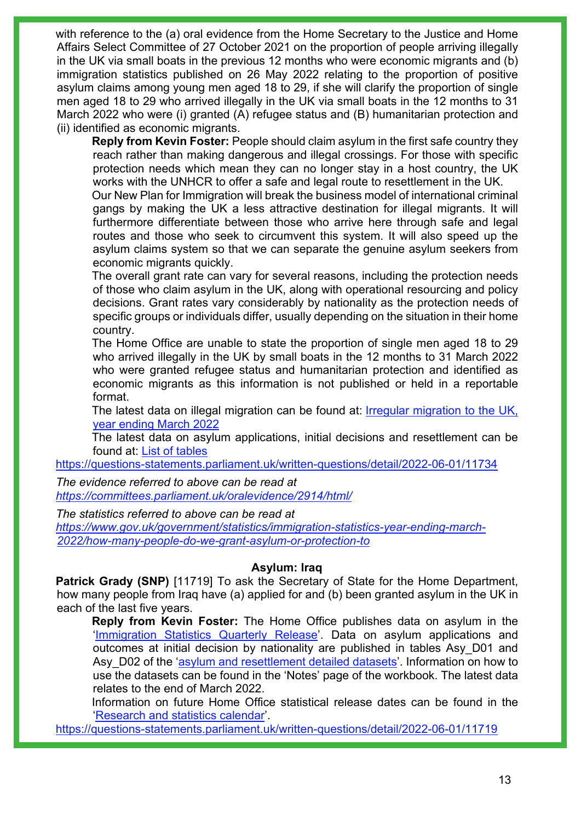with reference to the (a) oral evidence from the Home Secretary to the Justice and Home Affairs Select Committee of 27 October 2021 on the proportion of people arriving illegally in the UK via small boats in the previous 12 months who were economic migrants and (b) immigration statistics published on 26 May 2022 relating to the proportion of positive asylum claims among young men aged 18 to 29, if she will clarify the proportion of single men aged 18 to 29 who arrived illegally in the UK via small boats in the 12 months to 31 March 2022 who were (i) granted (A) refugee status and (B) humanitarian protection and (ii) identified as economic migrants.

**Reply from Kevin Foster:** People should claim asylum in the first safe country they reach rather than making dangerous and illegal crossings. For those with specific protection needs which mean they can no longer stay in a host country, the UK works with the UNHCR to offer a safe and legal route to resettlement in the UK.

Our New Plan for Immigration will break the business model of international criminal gangs by making the UK a less attractive destination for illegal migrants. It will furthermore differentiate between those who arrive here through safe and legal routes and those who seek to circumvent this system. It will also speed up the asylum claims system so that we can separate the genuine asylum seekers from economic migrants quickly.

The overall grant rate can vary for several reasons, including the protection needs of those who claim asylum in the UK, along with operational resourcing and policy decisions. Grant rates vary considerably by nationality as the protection needs of specific groups or individuals differ, usually depending on the situation in their home country.

The Home Office are unable to state the proportion of single men aged 18 to 29 who arrived illegally in the UK by small boats in the 12 months to 31 March 2022 who were granted refugee status and humanitarian protection and identified as economic migrants as this information is not published or held in a reportable format.

The latest data on illegal migration can be found at: *Irregular migration to the UK*, [year ending March 2022](https://www.gov.uk/government/statistics/irregular-migration-to-the-uk-year-ending-march-2022)

The latest data on asylum applications, initial decisions and resettlement can be found at: [List of tables](https://www.gov.uk/government/statistics/immigration-statistics-year-ending-march-2022/list-of-tables#asylum-and-resettlement)

<https://questions-statements.parliament.uk/written-questions/detail/2022-06-01/11734>

*The evidence referred to above can be read at <https://committees.parliament.uk/oralevidence/2914/html/>*

*The statistics referred to above can be read at*

*[https://www.gov.uk/government/statistics/immigration-statistics-year-ending-march-](https://www.gov.uk/government/statistics/immigration-statistics-year-ending-march-2022/how-many-people-do-we-grant-asylum-or-protection-to)[2022/how-many-people-do-we-grant-asylum-or-protection-to](https://www.gov.uk/government/statistics/immigration-statistics-year-ending-march-2022/how-many-people-do-we-grant-asylum-or-protection-to)*

#### **Asylum: Iraq**

**Patrick Grady (SNP)** [11719] To ask the Secretary of State for the Home Department, how many people from Iraq have (a) applied for and (b) been granted asylum in the UK in each of the last five years.

**Reply from Kevin Foster:** The Home Office publishes data on asylum in the ['Immigration Statistics Quarterly Release'](https://www.gov.uk/government/collections/immigration-statistics-quarterly-release). Data on asylum applications and outcomes at initial decision by nationality are published in tables Asy\_D01 and Asy D02 of the ['asylum and resettlement detailed datasets'](https://www.gov.uk/government/statistical-data-sets/asylum-and-resettlement-datasets#asylum-applications-decisions-and-resettlement). Information on how to use the datasets can be found in the 'Notes' page of the workbook. The latest data relates to the end of March 2022.

Information on future Home Office statistical release dates can be found in the ['Research and statistics calendar'](https://www.gov.uk/search/research-and-statistics?keywords=immigration&content_store_document_type=upcoming_statistics&organisations%5B%5D=home-office&order=relevance).

<https://questions-statements.parliament.uk/written-questions/detail/2022-06-01/11719>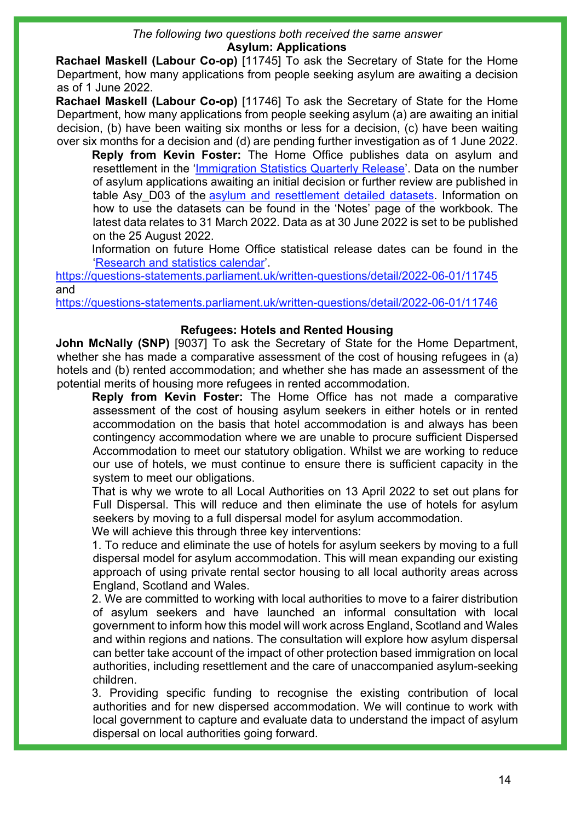# *The following two questions both received the same answer*

#### **Asylum: Applications**

**Rachael Maskell (Labour Co-op)** [11745] To ask the Secretary of State for the Home Department, how many applications from people seeking asylum are awaiting a decision as of 1 June 2022.

**Rachael Maskell (Labour Co-op)** [11746] To ask the Secretary of State for the Home Department, how many applications from people seeking asylum (a) are awaiting an initial decision, (b) have been waiting six months or less for a decision, (c) have been waiting over six months for a decision and (d) are pending further investigation as of 1 June 2022.

**Reply from Kevin Foster:** The Home Office publishes data on asylum and resettlement in the ['Immigration Statistics Quarterly Release'](https://www.gov.uk/government/collections/immigration-statistics-quarterly-release). Data on the number of asylum applications awaiting an initial decision or further review are published in table Asy D03 of the [asylum and resettlement detailed datasets.](https://www.gov.uk/government/statistical-data-sets/asylum-and-resettlement-datasets#asylum-applications-decisions-and-resettlement) Information on how to use the datasets can be found in the 'Notes' page of the workbook. The latest data relates to 31 March 2022. Data as at 30 June 2022 is set to be published on the 25 August 2022.

Information on future Home Office statistical release dates can be found in the ['Research and statistics calendar'](https://www.gov.uk/search/research-and-statistics?keywords=immigration&content_store_document_type=upcoming_statistics&organisations%5B%5D=home-office&order=relevance).

<https://questions-statements.parliament.uk/written-questions/detail/2022-06-01/11745> and

<https://questions-statements.parliament.uk/written-questions/detail/2022-06-01/11746>

#### **Refugees: Hotels and Rented Housing**

**John McNally (SNP)** [9037] To ask the Secretary of State for the Home Department, whether she has made a comparative assessment of the cost of housing refugees in (a) hotels and (b) rented accommodation; and whether she has made an assessment of the potential merits of housing more refugees in rented accommodation.

**Reply from Kevin Foster:** The Home Office has not made a comparative assessment of the cost of housing asylum seekers in either hotels or in rented accommodation on the basis that hotel accommodation is and always has been contingency accommodation where we are unable to procure sufficient Dispersed Accommodation to meet our statutory obligation. Whilst we are working to reduce our use of hotels, we must continue to ensure there is sufficient capacity in the system to meet our obligations.

That is why we wrote to all Local Authorities on 13 April 2022 to set out plans for Full Dispersal. This will reduce and then eliminate the use of hotels for asylum seekers by moving to a full dispersal model for asylum accommodation. We will achieve this through three key interventions:

1. To reduce and eliminate the use of hotels for asylum seekers by moving to a full dispersal model for asylum accommodation. This will mean expanding our existing approach of using private rental sector housing to all local authority areas across England, Scotland and Wales.

2. We are committed to working with local authorities to move to a fairer distribution of asylum seekers and have launched an informal consultation with local government to inform how this model will work across England, Scotland and Wales and within regions and nations. The consultation will explore how asylum dispersal can better take account of the impact of other protection based immigration on local authorities, including resettlement and the care of unaccompanied asylum-seeking children.

3. Providing specific funding to recognise the existing contribution of local authorities and for new dispersed accommodation. We will continue to work with local government to capture and evaluate data to understand the impact of asylum dispersal on local authorities going forward.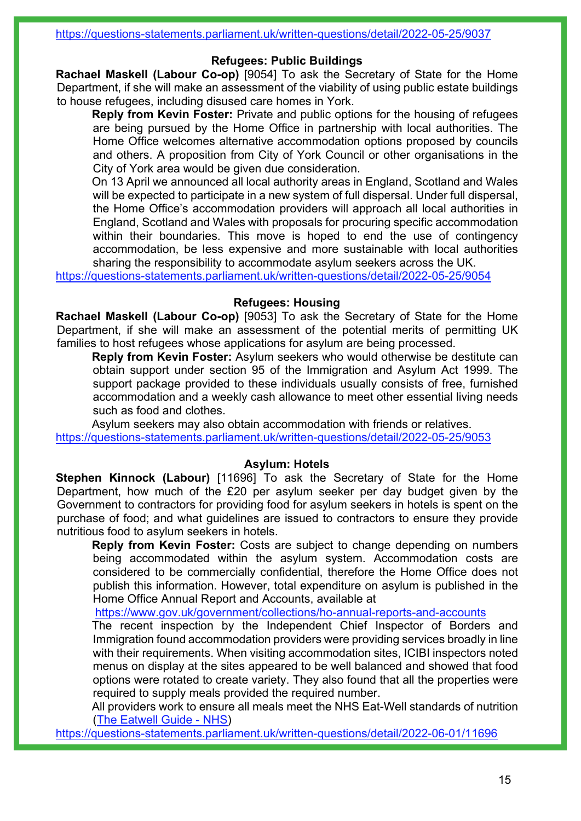#### <https://questions-statements.parliament.uk/written-questions/detail/2022-05-25/9037>

### **Refugees: Public Buildings**

**Rachael Maskell (Labour Co-op)** [9054] To ask the Secretary of State for the Home Department, if she will make an assessment of the viability of using public estate buildings to house refugees, including disused care homes in York.

**Reply from Kevin Foster:** Private and public options for the housing of refugees are being pursued by the Home Office in partnership with local authorities. The Home Office welcomes alternative accommodation options proposed by councils and others. A proposition from City of York Council or other organisations in the City of York area would be given due consideration.

On 13 April we announced all local authority areas in England, Scotland and Wales will be expected to participate in a new system of full dispersal. Under full dispersal, the Home Office's accommodation providers will approach all local authorities in England, Scotland and Wales with proposals for procuring specific accommodation within their boundaries. This move is hoped to end the use of contingency accommodation, be less expensive and more sustainable with local authorities sharing the responsibility to accommodate asylum seekers across the UK.

<https://questions-statements.parliament.uk/written-questions/detail/2022-05-25/9054>

### **Refugees: Housing**

**Rachael Maskell (Labour Co-op)** [9053] To ask the Secretary of State for the Home Department, if she will make an assessment of the potential merits of permitting UK families to host refugees whose applications for asylum are being processed.

**Reply from Kevin Foster:** Asylum seekers who would otherwise be destitute can obtain support under section 95 of the Immigration and Asylum Act 1999. The support package provided to these individuals usually consists of free, furnished accommodation and a weekly cash allowance to meet other essential living needs such as food and clothes.

Asylum seekers may also obtain accommodation with friends or relatives. <https://questions-statements.parliament.uk/written-questions/detail/2022-05-25/9053>

### **Asylum: Hotels**

**Stephen Kinnock (Labour)** [11696] To ask the Secretary of State for the Home Department, how much of the £20 per asylum seeker per day budget given by the Government to contractors for providing food for asylum seekers in hotels is spent on the purchase of food; and what guidelines are issued to contractors to ensure they provide nutritious food to asylum seekers in hotels.

**Reply from Kevin Foster:** Costs are subject to change depending on numbers being accommodated within the asylum system. Accommodation costs are considered to be commercially confidential, therefore the Home Office does not publish this information. However, total expenditure on asylum is published in the Home Office Annual Report and Accounts, available at

<https://www.gov.uk/government/collections/ho-annual-reports-and-accounts>

The recent inspection by the Independent Chief Inspector of Borders and Immigration found accommodation providers were providing services broadly in line with their requirements. When visiting accommodation sites, ICIBI inspectors noted menus on display at the sites appeared to be well balanced and showed that food options were rotated to create variety. They also found that all the properties were required to supply meals provided the required number.

All providers work to ensure all meals meet the NHS Eat-Well standards of nutrition [\(The Eatwell Guide - NHS\)](https://www.nhs.uk/live-well/eat-well/food-guidelines-and-food-labels/the-eatwell-guide/)

<https://questions-statements.parliament.uk/written-questions/detail/2022-06-01/11696>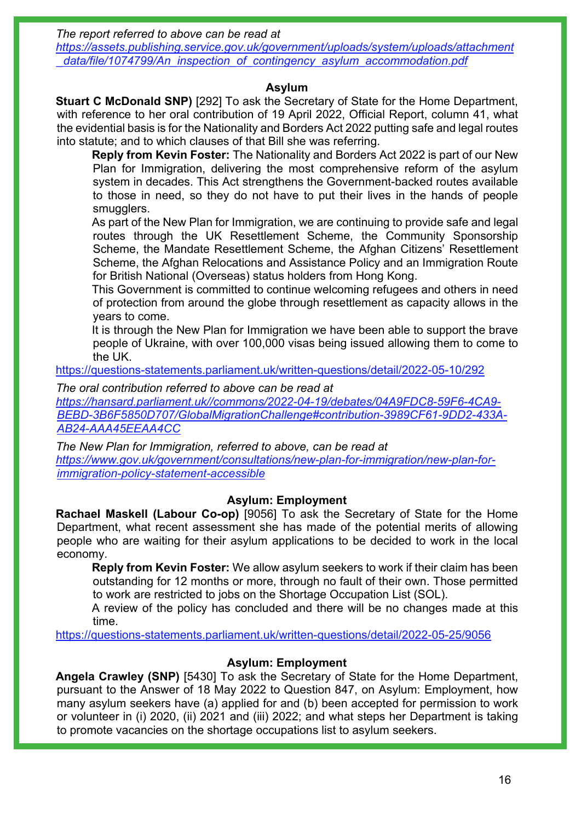*The report referred to above can be read at*

*[https://assets.publishing.service.gov.uk/government/uploads/system/uploads/attachment](https://assets.publishing.service.gov.uk/government/uploads/system/uploads/attachment_data/file/1074799/An_inspection_of_contingency_asylum_accommodation.pdf) [\\_data/file/1074799/An\\_inspection\\_of\\_contingency\\_asylum\\_accommodation.pdf](https://assets.publishing.service.gov.uk/government/uploads/system/uploads/attachment_data/file/1074799/An_inspection_of_contingency_asylum_accommodation.pdf)* 

### **Asylum**

**Stuart C McDonald SNP)** [292] To ask the Secretary of State for the Home Department, with reference to her oral contribution of 19 April 2022, Official Report, column 41, what the evidential basis is for the Nationality and Borders Act 2022 putting safe and legal routes into statute; and to which clauses of that Bill she was referring.

**Reply from Kevin Foster:** The Nationality and Borders Act 2022 is part of our New Plan for Immigration, delivering the most comprehensive reform of the asylum system in decades. This Act strengthens the Government-backed routes available to those in need, so they do not have to put their lives in the hands of people smugglers.

As part of the New Plan for Immigration, we are continuing to provide safe and legal routes through the UK Resettlement Scheme, the Community Sponsorship Scheme, the Mandate Resettlement Scheme, the Afghan Citizens' Resettlement Scheme, the Afghan Relocations and Assistance Policy and an Immigration Route for British National (Overseas) status holders from Hong Kong.

This Government is committed to continue welcoming refugees and others in need of protection from around the globe through resettlement as capacity allows in the years to come.

It is through the New Plan for Immigration we have been able to support the brave people of Ukraine, with over 100,000 visas being issued allowing them to come to the UK.

<https://questions-statements.parliament.uk/written-questions/detail/2022-05-10/292>

*The oral contribution referred to above can be read at*

*[https://hansard.parliament.uk//commons/2022-04-19/debates/04A9FDC8-59F6-4CA9-](https://hansard.parliament.uk/commons/2022-04-19/debates/04A9FDC8-59F6-4CA9-BEBD-3B6F5850D707/GlobalMigrationChallenge#contribution-3989CF61-9DD2-433A-AB24-AAA45EEAA4CC) [BEBD-3B6F5850D707/GlobalMigrationChallenge#contribution-3989CF61-9DD2-433A-](https://hansard.parliament.uk/commons/2022-04-19/debates/04A9FDC8-59F6-4CA9-BEBD-3B6F5850D707/GlobalMigrationChallenge#contribution-3989CF61-9DD2-433A-AB24-AAA45EEAA4CC)[AB24-AAA45EEAA4CC](https://hansard.parliament.uk/commons/2022-04-19/debates/04A9FDC8-59F6-4CA9-BEBD-3B6F5850D707/GlobalMigrationChallenge#contribution-3989CF61-9DD2-433A-AB24-AAA45EEAA4CC)* 

*The New Plan for Immigration, referred to above, can be read at [https://www.gov.uk/government/consultations/new-plan-for-immigration/new-plan-for](https://www.gov.uk/government/consultations/new-plan-for-immigration/new-plan-for-immigration-policy-statement-accessible)[immigration-policy-statement-accessible](https://www.gov.uk/government/consultations/new-plan-for-immigration/new-plan-for-immigration-policy-statement-accessible)* 

## **Asylum: Employment**

**Rachael Maskell (Labour Co-op)** [9056] To ask the Secretary of State for the Home Department, what recent assessment she has made of the potential merits of allowing people who are waiting for their asylum applications to be decided to work in the local economy.

**Reply from Kevin Foster:** We allow asylum seekers to work if their claim has been outstanding for 12 months or more, through no fault of their own. Those permitted to work are restricted to jobs on the Shortage Occupation List (SOL).

A review of the policy has concluded and there will be no changes made at this time.

<https://questions-statements.parliament.uk/written-questions/detail/2022-05-25/9056>

## **Asylum: Employment**

**Angela Crawley (SNP)** [5430] To ask the Secretary of State for the Home Department, pursuant to the Answer of 18 May 2022 to Question 847, on Asylum: Employment, how many asylum seekers have (a) applied for and (b) been accepted for permission to work or volunteer in (i) 2020, (ii) 2021 and (iii) 2022; and what steps her Department is taking to promote vacancies on the shortage occupations list to asylum seekers.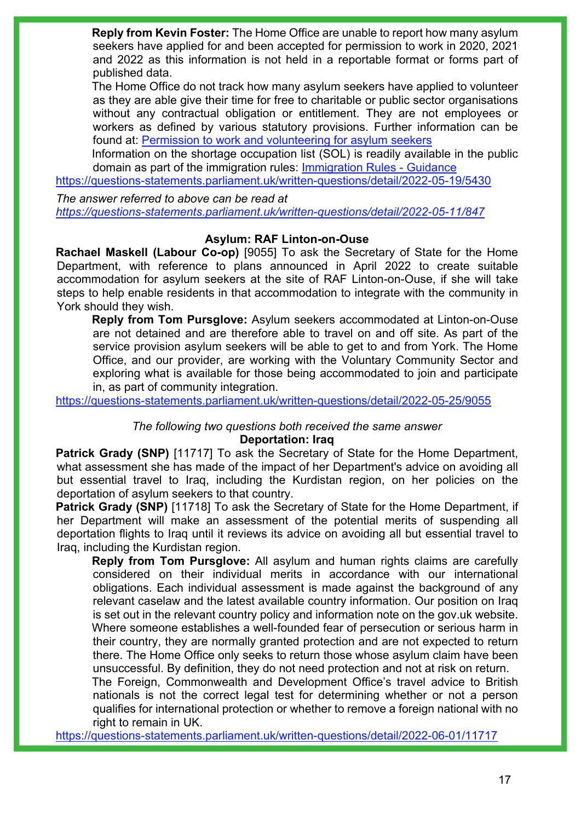**Reply from Kevin Foster:** The Home Office are unable to report how many asylum seekers have applied for and been accepted for permission to work in 2020, 2021 and 2022 as this information is not held in a reportable format or forms part of published data.

The Home Office do not track how many asylum seekers have applied to volunteer as they are able give their time for free to charitable or public sector organisations without any contractual obligation or entitlement. They are not employees or workers as defined by various statutory provisions. Further information can be found at: Permission to work and [volunteering for asylum seekers](https://www.gov.uk/government/publications/handling-applications-for-permission-to-take-employment-instruction/permission-to-work-and-volunteering-for-asylum-seekers-accessible-version#introduction)

Information on the shortage occupation list (SOL) is readily available in the public domain as part of the immigration rules: [Immigration Rules - Guidance](https://www.gov.uk/guidance/immigration-rules)

<https://questions-statements.parliament.uk/written-questions/detail/2022-05-19/5430>

*The answer referred to above can be read at <https://questions-statements.parliament.uk/written-questions/detail/2022-05-11/847>*

### **Asylum: RAF Linton-on-Ouse**

**Rachael Maskell (Labour Co-op)** [9055] To ask the Secretary of State for the Home Department, with reference to plans announced in April 2022 to create suitable accommodation for asylum seekers at the site of RAF Linton-on-Ouse, if she will take steps to help enable residents in that accommodation to integrate with the community in York should they wish.

**Reply from Tom Pursglove:** Asylum seekers accommodated at Linton-on-Ouse are not detained and are therefore able to travel on and off site. As part of the service provision asylum seekers will be able to get to and from York. The Home Office, and our provider, are working with the Voluntary Community Sector and exploring what is available for those being accommodated to join and participate in, as part of community integration.

<https://questions-statements.parliament.uk/written-questions/detail/2022-05-25/9055>

*The following two questions both received the same answer*

#### **Deportation: Iraq**

**Patrick Grady (SNP)** [11717] To ask the Secretary of State for the Home Department, what assessment she has made of the impact of her Department's advice on avoiding all but essential travel to Iraq, including the Kurdistan region, on her policies on the deportation of asylum seekers to that country.

**Patrick Grady (SNP)** [11718] To ask the Secretary of State for the Home Department, if her Department will make an assessment of the potential merits of suspending all deportation flights to Iraq until it reviews its advice on avoiding all but essential travel to Iraq, including the Kurdistan region.

**Reply from Tom Pursglove:** All asylum and human rights claims are carefully considered on their individual merits in accordance with our international obligations. Each individual assessment is made against the background of any relevant caselaw and the latest available country information. Our position on Iraq is set out in the relevant country policy and information note on the gov.uk website. Where someone establishes a well-founded fear of persecution or serious harm in their country, they are normally granted protection and are not expected to return there. The Home Office only seeks to return those whose asylum claim have been unsuccessful. By definition, they do not need protection and not at risk on return.

The Foreign, Commonwealth and Development Office's travel advice to British nationals is not the correct legal test for determining whether or not a person qualifies for international protection or whether to remove a foreign national with no right to remain in UK.

<https://questions-statements.parliament.uk/written-questions/detail/2022-06-01/11717>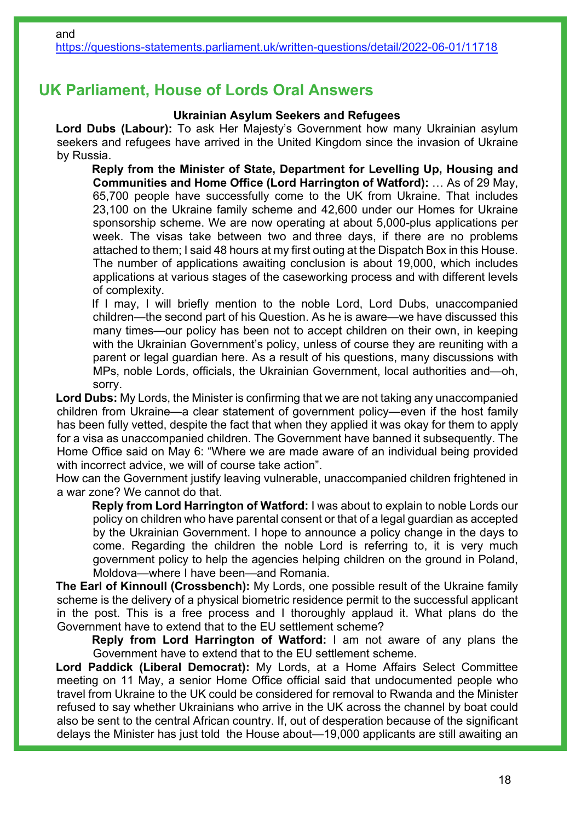# **UK Parliament, House of Lords Oral Answers**

### **Ukrainian Asylum Seekers and Refugees**

**Lord Dubs (Labour):** To ask Her Majesty's Government how many Ukrainian asylum seekers and refugees have arrived in the United Kingdom since the invasion of Ukraine by Russia.

**Reply from the Minister of State, Department for Levelling Up, Housing and Communities and Home Office (Lord Harrington of Watford):** … As of 29 May, 65,700 people have successfully come to the UK from Ukraine. That includes 23,100 on the Ukraine family scheme and 42,600 under our Homes for Ukraine sponsorship scheme. We are now operating at about 5,000-plus applications per week. The visas take between two and three days, if there are no problems attached to them; I said 48 hours at my first outing at the Dispatch Box in this House. The number of applications awaiting conclusion is about 19,000, which includes applications at various stages of the caseworking process and with different levels of complexity.

If I may, I will briefly mention to the noble Lord, Lord Dubs, unaccompanied children—the second part of his Question. As he is aware—we have discussed this many times—our policy has been not to accept children on their own, in keeping with the Ukrainian Government's policy, unless of course they are reuniting with a parent or legal guardian here. As a result of his questions, many discussions with MPs, noble Lords, officials, the Ukrainian Government, local authorities and—oh, sorry.

**Lord Dubs:** My Lords, the Minister is confirming that we are not taking any unaccompanied children from Ukraine—a clear statement of government policy—even if the host family has been fully vetted, despite the fact that when they applied it was okay for them to apply for a visa as unaccompanied children. The Government have banned it subsequently. The Home Office said on May 6: "Where we are made aware of an individual being provided with incorrect advice, we will of course take action".

How can the Government justify leaving vulnerable, unaccompanied children frightened in a war zone? We cannot do that.

**Reply from Lord Harrington of Watford:** I was about to explain to noble Lords our policy on children who have parental consent or that of a legal guardian as accepted by the Ukrainian Government. I hope to announce a policy change in the days to come. Regarding the children the noble Lord is referring to, it is very much government policy to help the agencies helping children on the ground in Poland, Moldova—where I have been—and Romania.

**The Earl of Kinnoull (Crossbench):** My Lords, one possible result of the Ukraine family scheme is the delivery of a physical biometric residence permit to the successful applicant in the post. This is a free process and I thoroughly applaud it. What plans do the Government have to extend that to the EU settlement scheme?

**Reply from Lord Harrington of Watford:** I am not aware of any plans the Government have to extend that to the EU settlement scheme.

**Lord Paddick (Liberal Democrat):** My Lords, at a Home Affairs Select Committee meeting on 11 May, a senior Home Office official said that undocumented people who travel from Ukraine to the UK could be considered for removal to Rwanda and the Minister refused to say whether Ukrainians who arrive in the UK across the channel by boat could also be sent to the central African country. If, out of desperation because of the significant delays the Minister has just told the House about—19,000 applicants are still awaiting an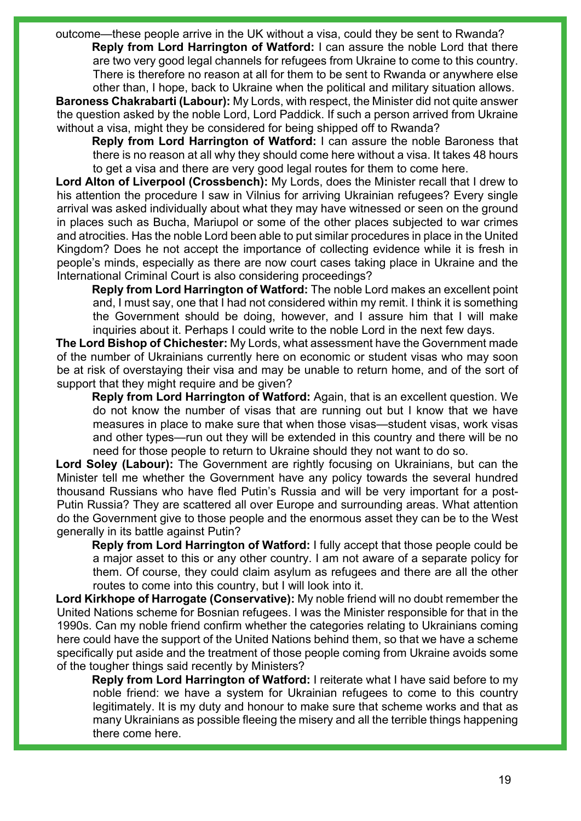outcome—these people arrive in the UK without a visa, could they be sent to Rwanda? **Reply from Lord Harrington of Watford:** I can assure the noble Lord that there are two very good legal channels for refugees from Ukraine to come to this country. There is therefore no reason at all for them to be sent to Rwanda or anywhere else other than, I hope, back to Ukraine when the political and military situation allows.

**Baroness Chakrabarti (Labour):** My Lords, with respect, the Minister did not quite answer the question asked by the noble Lord, Lord Paddick. If such a person arrived from Ukraine without a visa, might they be considered for being shipped off to Rwanda?

**Reply from Lord Harrington of Watford:** I can assure the noble Baroness that there is no reason at all why they should come here without a visa. It takes 48 hours to get a visa and there are very good legal routes for them to come here.

**Lord Alton of Liverpool (Crossbench):** My Lords, does the Minister recall that I drew to his attention the procedure I saw in Vilnius for arriving Ukrainian refugees? Every single arrival was asked individually about what they may have witnessed or seen on the ground in places such as Bucha, Mariupol or some of the other places subjected to war crimes and atrocities. Has the noble Lord been able to put similar procedures in place in the United Kingdom? Does he not accept the importance of collecting evidence while it is fresh in people's minds, especially as there are now court cases taking place in Ukraine and the International Criminal Court is also considering proceedings?

**Reply from Lord Harrington of Watford:** The noble Lord makes an excellent point and, I must say, one that I had not considered within my remit. I think it is something the Government should be doing, however, and I assure him that I will make inquiries about it. Perhaps I could write to the noble Lord in the next few days.

**The Lord Bishop of Chichester:** My Lords, what assessment have the Government made of the number of Ukrainians currently here on economic or student visas who may soon be at risk of overstaying their visa and may be unable to return home, and of the sort of support that they might require and be given?

**Reply from Lord Harrington of Watford:** Again, that is an excellent question. We do not know the number of visas that are running out but I know that we have measures in place to make sure that when those visas—student visas, work visas and other types—run out they will be extended in this country and there will be no need for those people to return to Ukraine should they not want to do so.

**Lord Soley (Labour):** The Government are rightly focusing on Ukrainians, but can the Minister tell me whether the Government have any policy towards the several hundred thousand Russians who have fled Putin's Russia and will be very important for a post-Putin Russia? They are scattered all over Europe and surrounding areas. What attention do the Government give to those people and the enormous asset they can be to the West generally in its battle against Putin?

**Reply from Lord Harrington of Watford:** I fully accept that those people could be a major asset to this or any other country. I am not aware of a separate policy for them. Of course, they could claim asylum as refugees and there are all the other routes to come into this country, but I will look into it.

**Lord Kirkhope of Harrogate (Conservative):** My noble friend will no doubt remember the United Nations scheme for Bosnian refugees. I was the Minister responsible for that in the 1990s. Can my noble friend confirm whether the categories relating to Ukrainians coming here could have the support of the United Nations behind them, so that we have a scheme specifically put aside and the treatment of those people coming from Ukraine avoids some of the tougher things said recently by Ministers?

**Reply from Lord Harrington of Watford:** I reiterate what I have said before to my noble friend: we have a system for Ukrainian refugees to come to this country legitimately. It is my duty and honour to make sure that scheme works and that as many Ukrainians as possible fleeing the misery and all the terrible things happening there come here.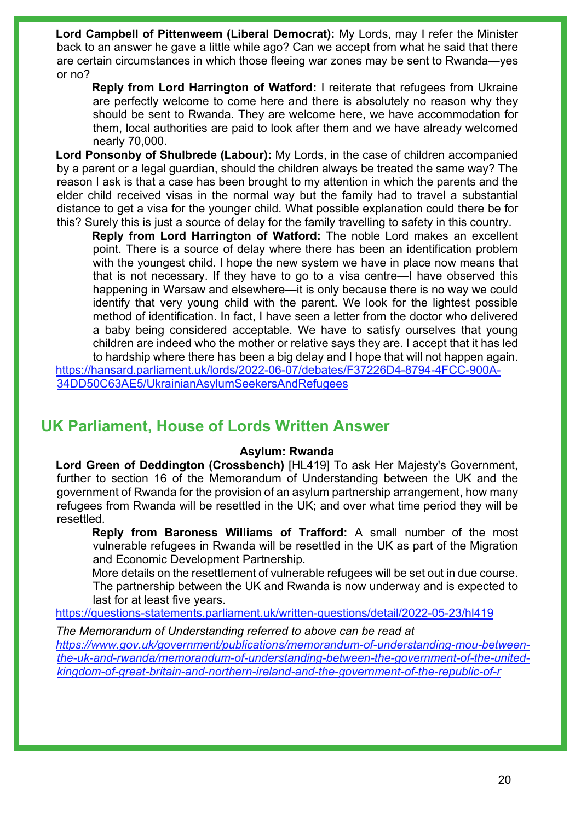**Lord Campbell of Pittenweem (Liberal Democrat):** My Lords, may I refer the Minister back to an answer he gave a little while ago? Can we accept from what he said that there are certain circumstances in which those fleeing war zones may be sent to Rwanda—yes or no?

**Reply from Lord Harrington of Watford:** I reiterate that refugees from Ukraine are perfectly welcome to come here and there is absolutely no reason why they should be sent to Rwanda. They are welcome here, we have accommodation for them, local authorities are paid to look after them and we have already welcomed nearly 70,000.

**Lord Ponsonby of Shulbrede (Labour):** My Lords, in the case of children accompanied by a parent or a legal guardian, should the children always be treated the same way? The reason I ask is that a case has been brought to my attention in which the parents and the elder child received visas in the normal way but the family had to travel a substantial distance to get a visa for the younger child. What possible explanation could there be for this? Surely this is just a source of delay for the family travelling to safety in this country.

**Reply from Lord Harrington of Watford:** The noble Lord makes an excellent point. There is a source of delay where there has been an identification problem with the youngest child. I hope the new system we have in place now means that that is not necessary. If they have to go to a visa centre—I have observed this happening in Warsaw and elsewhere—it is only because there is no way we could identify that very young child with the parent. We look for the lightest possible method of identification. In fact, I have seen a letter from the doctor who delivered a baby being considered acceptable. We have to satisfy ourselves that young children are indeed who the mother or relative says they are. I accept that it has led

to hardship where there has been a big delay and I hope that will not happen again. [https://hansard.parliament.uk/lords/2022-06-07/debates/F37226D4-8794-4FCC-900A-](https://hansard.parliament.uk/lords/2022-06-07/debates/F37226D4-8794-4FCC-900A-34DD50C63AE5/UkrainianAsylumSeekersAndRefugees)[34DD50C63AE5/UkrainianAsylumSeekersAndRefugees](https://hansard.parliament.uk/lords/2022-06-07/debates/F37226D4-8794-4FCC-900A-34DD50C63AE5/UkrainianAsylumSeekersAndRefugees) 

# **UK Parliament, House of Lords Written Answer**

#### **Asylum: Rwanda**

**Lord Green of Deddington (Crossbench)** [HL419] To ask Her Majesty's Government, further to section 16 of the Memorandum of Understanding between the UK and the government of Rwanda for the provision of an asylum partnership arrangement, how many refugees from Rwanda will be resettled in the UK; and over what time period they will be resettled.

**Reply from Baroness Williams of Trafford:** A small number of the most vulnerable refugees in Rwanda will be resettled in the UK as part of the Migration and Economic Development Partnership.

More details on the resettlement of vulnerable refugees will be set out in due course. The partnership between the UK and Rwanda is now underway and is expected to last for at least five years.

<https://questions-statements.parliament.uk/written-questions/detail/2022-05-23/hl419>

*The Memorandum of Understanding referred to above can be read at [https://www.gov.uk/government/publications/memorandum-of-understanding-mou-between](https://www.gov.uk/government/publications/memorandum-of-understanding-mou-between-the-uk-and-rwanda/memorandum-of-understanding-between-the-government-of-the-united-kingdom-of-great-britain-and-northern-ireland-and-the-government-of-the-republic-of-r)[the-uk-and-rwanda/memorandum-of-understanding-between-the-government-of-the-united](https://www.gov.uk/government/publications/memorandum-of-understanding-mou-between-the-uk-and-rwanda/memorandum-of-understanding-between-the-government-of-the-united-kingdom-of-great-britain-and-northern-ireland-and-the-government-of-the-republic-of-r)[kingdom-of-great-britain-and-northern-ireland-and-the-government-of-the-republic-of-r](https://www.gov.uk/government/publications/memorandum-of-understanding-mou-between-the-uk-and-rwanda/memorandum-of-understanding-between-the-government-of-the-united-kingdom-of-great-britain-and-northern-ireland-and-the-government-of-the-republic-of-r)*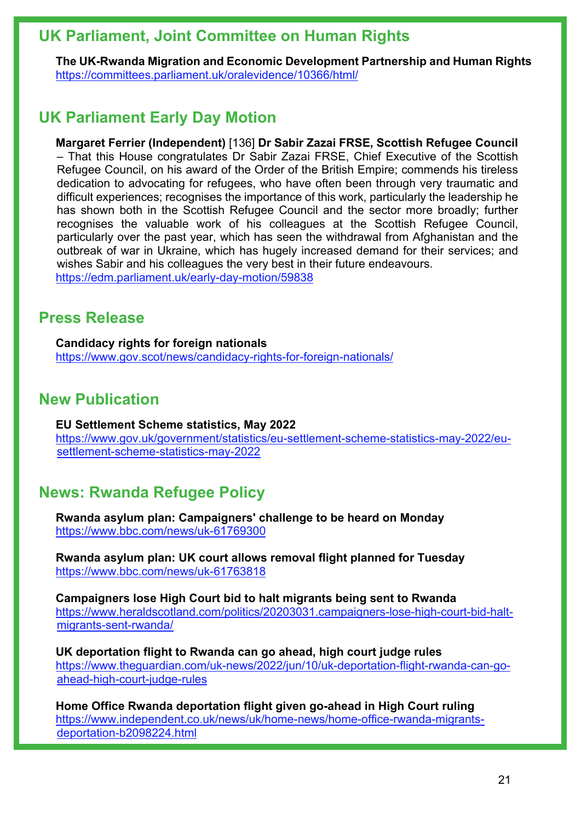# **UK Parliament, Joint Committee on Human Rights**

**The UK-Rwanda Migration and Economic Development Partnership and Human Rights** <https://committees.parliament.uk/oralevidence/10366/html/>

# **UK Parliament Early Day Motion**

**Margaret Ferrier (Independent)** [136] **Dr Sabir Zazai FRSE, Scottish Refugee Council** – That this House congratulates Dr Sabir Zazai FRSE, Chief Executive of the Scottish Refugee Council, on his award of the Order of the British Empire; commends his tireless dedication to advocating for refugees, who have often been through very traumatic and difficult experiences; recognises the importance of this work, particularly the leadership he has shown both in the Scottish Refugee Council and the sector more broadly; further recognises the valuable work of his colleagues at the Scottish Refugee Council, particularly over the past year, which has seen the withdrawal from Afghanistan and the outbreak of war in Ukraine, which has hugely increased demand for their services; and wishes Sabir and his colleagues the very best in their future endeavours. <https://edm.parliament.uk/early-day-motion/59838>

# **Press Release**

**Candidacy rights for foreign nationals** <https://www.gov.scot/news/candidacy-rights-for-foreign-nationals/>

# **New Publication**

**EU Settlement Scheme statistics, May 2022** [https://www.gov.uk/government/statistics/eu-settlement-scheme-statistics-may-2022/eu](https://www.gov.uk/government/statistics/eu-settlement-scheme-statistics-may-2022/eu-settlement-scheme-statistics-may-2022)[settlement-scheme-statistics-may-2022](https://www.gov.uk/government/statistics/eu-settlement-scheme-statistics-may-2022/eu-settlement-scheme-statistics-may-2022)

# **News: Rwanda Refugee Policy**

**Rwanda asylum plan: Campaigners' challenge to be heard on Monday** <https://www.bbc.com/news/uk-61769300>

**Rwanda asylum plan: UK court allows removal flight planned for Tuesday** <https://www.bbc.com/news/uk-61763818>

**Campaigners lose High Court bid to halt migrants being sent to Rwanda** [https://www.heraldscotland.com/politics/20203031.campaigners-lose-high-court-bid-halt](https://www.heraldscotland.com/politics/20203031.campaigners-lose-high-court-bid-halt-migrants-sent-rwanda/)[migrants-sent-rwanda/](https://www.heraldscotland.com/politics/20203031.campaigners-lose-high-court-bid-halt-migrants-sent-rwanda/)

**UK deportation flight to Rwanda can go ahead, high court judge rules**  [https://www.theguardian.com/uk-news/2022/jun/10/uk-deportation-flight-rwanda-can-go](https://www.theguardian.com/uk-news/2022/jun/10/uk-deportation-flight-rwanda-can-go-ahead-high-court-judge-rules)[ahead-high-court-judge-rules](https://www.theguardian.com/uk-news/2022/jun/10/uk-deportation-flight-rwanda-can-go-ahead-high-court-judge-rules)

**Home Office Rwanda deportation flight given go-ahead in High Court ruling**  [https://www.independent.co.uk/news/uk/home-news/home-office-rwanda-migrants](https://www.independent.co.uk/news/uk/home-news/home-office-rwanda-migrants-deportation-b2098224.html)[deportation-b2098224.html](https://www.independent.co.uk/news/uk/home-news/home-office-rwanda-migrants-deportation-b2098224.html)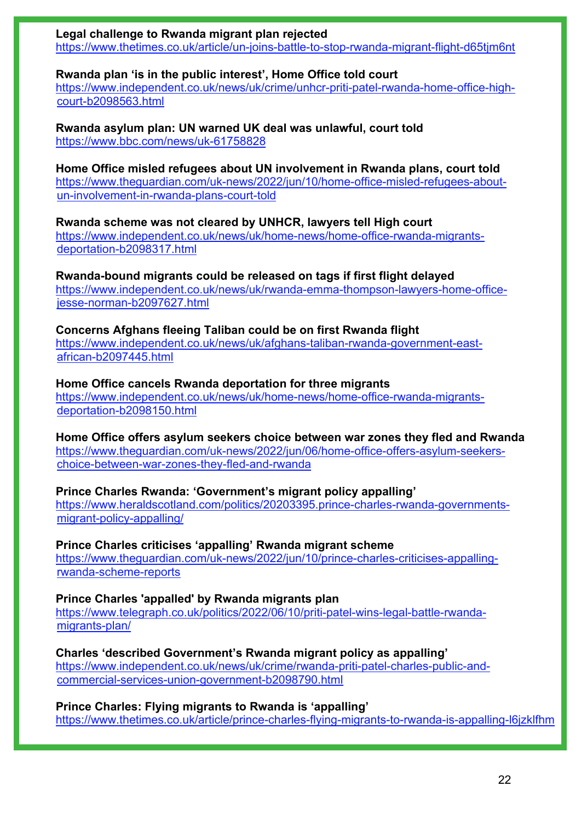**Legal challenge to Rwanda migrant plan rejected**  <https://www.thetimes.co.uk/article/un-joins-battle-to-stop-rwanda-migrant-flight-d65tjm6nt>

**Rwanda plan 'is in the public interest', Home Office told court** 

[https://www.independent.co.uk/news/uk/crime/unhcr-priti-patel-rwanda-home-office-high](https://www.independent.co.uk/news/uk/crime/unhcr-priti-patel-rwanda-home-office-high-court-b2098563.html)[court-b2098563.html](https://www.independent.co.uk/news/uk/crime/unhcr-priti-patel-rwanda-home-office-high-court-b2098563.html)

**Rwanda asylum plan: UN warned UK deal was unlawful, court told** <https://www.bbc.com/news/uk-61758828>

**Home Office misled refugees about UN involvement in Rwanda plans, court told**  [https://www.theguardian.com/uk-news/2022/jun/10/home-office-misled-refugees-about](https://www.theguardian.com/uk-news/2022/jun/10/home-office-misled-refugees-about-un-involvement-in-rwanda-plans-court-told)[un-involvement-in-rwanda-plans-court-told](https://www.theguardian.com/uk-news/2022/jun/10/home-office-misled-refugees-about-un-involvement-in-rwanda-plans-court-told)

**Rwanda scheme was not cleared by UNHCR, lawyers tell High court**  [https://www.independent.co.uk/news/uk/home-news/home-office-rwanda-migrants](https://www.independent.co.uk/news/uk/home-news/home-office-rwanda-migrants-deportation-b2098317.html)[deportation-b2098317.html](https://www.independent.co.uk/news/uk/home-news/home-office-rwanda-migrants-deportation-b2098317.html)

**Rwanda-bound migrants could be released on tags if first flight delayed**  [https://www.independent.co.uk/news/uk/rwanda-emma-thompson-lawyers-home-office](https://www.independent.co.uk/news/uk/rwanda-emma-thompson-lawyers-home-office-jesse-norman-b2097627.html)[jesse-norman-b2097627.html](https://www.independent.co.uk/news/uk/rwanda-emma-thompson-lawyers-home-office-jesse-norman-b2097627.html)

**Concerns Afghans fleeing Taliban could be on first Rwanda flight**  [https://www.independent.co.uk/news/uk/afghans-taliban-rwanda-government-east](https://www.independent.co.uk/news/uk/afghans-taliban-rwanda-government-east-african-b2097445.html)[african-b2097445.html](https://www.independent.co.uk/news/uk/afghans-taliban-rwanda-government-east-african-b2097445.html)

**Home Office cancels Rwanda deportation for three migrants**  [https://www.independent.co.uk/news/uk/home-news/home-office-rwanda-migrants](https://www.independent.co.uk/news/uk/home-news/home-office-rwanda-migrants-deportation-b2098150.html)[deportation-b2098150.html](https://www.independent.co.uk/news/uk/home-news/home-office-rwanda-migrants-deportation-b2098150.html)

**Home Office offers asylum seekers choice between war zones they fled and Rwanda** [https://www.theguardian.com/uk-news/2022/jun/06/home-office-offers-asylum-seekers](https://www.theguardian.com/uk-news/2022/jun/06/home-office-offers-asylum-seekers-choice-between-war-zones-they-fled-and-rwanda)[choice-between-war-zones-they-fled-and-rwanda](https://www.theguardian.com/uk-news/2022/jun/06/home-office-offers-asylum-seekers-choice-between-war-zones-they-fled-and-rwanda)

**Prince Charles Rwanda: 'Government's migrant policy appalling'**

[https://www.heraldscotland.com/politics/20203395.prince-charles-rwanda-governments](https://www.heraldscotland.com/politics/20203395.prince-charles-rwanda-governments-migrant-policy-appalling/)[migrant-policy-appalling/](https://www.heraldscotland.com/politics/20203395.prince-charles-rwanda-governments-migrant-policy-appalling/) 

**Prince Charles criticises 'appalling' Rwanda migrant scheme**  [https://www.theguardian.com/uk-news/2022/jun/10/prince-charles-criticises-appalling](https://www.theguardian.com/uk-news/2022/jun/10/prince-charles-criticises-appalling-rwanda-scheme-reports)[rwanda-scheme-reports](https://www.theguardian.com/uk-news/2022/jun/10/prince-charles-criticises-appalling-rwanda-scheme-reports)

**Prince Charles 'appalled' by Rwanda migrants plan** [https://www.telegraph.co.uk/politics/2022/06/10/priti-patel-wins-legal-battle-rwanda](https://www.telegraph.co.uk/politics/2022/06/10/priti-patel-wins-legal-battle-rwanda-migrants-plan/)[migrants-plan/](https://www.telegraph.co.uk/politics/2022/06/10/priti-patel-wins-legal-battle-rwanda-migrants-plan/)

**Charles 'described Government's Rwanda migrant policy as appalling'**  [https://www.independent.co.uk/news/uk/crime/rwanda-priti-patel-charles-public-and](https://www.independent.co.uk/news/uk/crime/rwanda-priti-patel-charles-public-and-commercial-services-union-government-b2098790.html)[commercial-services-union-government-b2098790.html](https://www.independent.co.uk/news/uk/crime/rwanda-priti-patel-charles-public-and-commercial-services-union-government-b2098790.html)

**Prince Charles: Flying migrants to Rwanda is 'appalling'** <https://www.thetimes.co.uk/article/prince-charles-flying-migrants-to-rwanda-is-appalling-l6jzklfhm>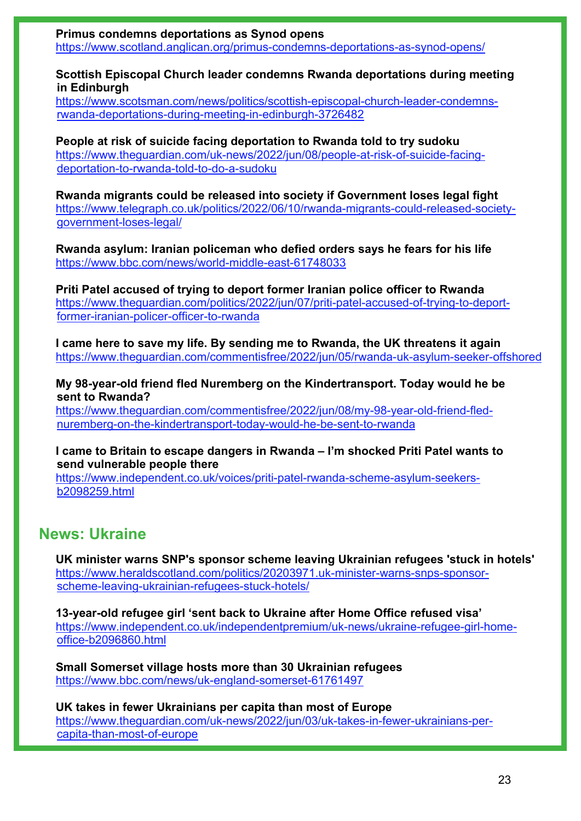**Primus condemns deportations as Synod opens** <https://www.scotland.anglican.org/primus-condemns-deportations-as-synod-opens/>

### **Scottish Episcopal Church leader condemns Rwanda deportations during meeting in Edinburgh**

[https://www.scotsman.com/news/politics/scottish-episcopal-church-leader-condemns](https://www.scotsman.com/news/politics/scottish-episcopal-church-leader-condemns-rwanda-deportations-during-meeting-in-edinburgh-3726482)[rwanda-deportations-during-meeting-in-edinburgh-3726482](https://www.scotsman.com/news/politics/scottish-episcopal-church-leader-condemns-rwanda-deportations-during-meeting-in-edinburgh-3726482)

**People at risk of suicide facing deportation to Rwanda told to try sudoku**  [https://www.theguardian.com/uk-news/2022/jun/08/people-at-risk-of-suicide-facing](https://www.theguardian.com/uk-news/2022/jun/08/people-at-risk-of-suicide-facing-deportation-to-rwanda-told-to-do-a-sudoku)[deportation-to-rwanda-told-to-do-a-sudoku](https://www.theguardian.com/uk-news/2022/jun/08/people-at-risk-of-suicide-facing-deportation-to-rwanda-told-to-do-a-sudoku)

**Rwanda migrants could be released into society if Government loses legal fight** [https://www.telegraph.co.uk/politics/2022/06/10/rwanda-migrants-could-released-society](https://www.telegraph.co.uk/politics/2022/06/10/rwanda-migrants-could-released-society-government-loses-legal/)[government-loses-legal/](https://www.telegraph.co.uk/politics/2022/06/10/rwanda-migrants-could-released-society-government-loses-legal/)

**Rwanda asylum: Iranian policeman who defied orders says he fears for his life** <https://www.bbc.com/news/world-middle-east-61748033>

**Priti Patel accused of trying to deport former Iranian police officer to Rwanda**  [https://www.theguardian.com/politics/2022/jun/07/priti-patel-accused-of-trying-to-deport](https://www.theguardian.com/politics/2022/jun/07/priti-patel-accused-of-trying-to-deport-former-iranian-policer-officer-to-rwanda)[former-iranian-policer-officer-to-rwanda](https://www.theguardian.com/politics/2022/jun/07/priti-patel-accused-of-trying-to-deport-former-iranian-policer-officer-to-rwanda)

**I came here to save my life. By sending me to Rwanda, the UK threatens it again**  <https://www.theguardian.com/commentisfree/2022/jun/05/rwanda-uk-asylum-seeker-offshored>

**My 98-year-old friend fled Nuremberg on the Kindertransport. Today would he be sent to Rwanda?** 

[https://www.theguardian.com/commentisfree/2022/jun/08/my-98-year-old-friend-fled](https://www.theguardian.com/commentisfree/2022/jun/08/my-98-year-old-friend-fled-nuremberg-on-the-kindertransport-today-would-he-be-sent-to-rwanda)[nuremberg-on-the-kindertransport-today-would-he-be-sent-to-rwanda](https://www.theguardian.com/commentisfree/2022/jun/08/my-98-year-old-friend-fled-nuremberg-on-the-kindertransport-today-would-he-be-sent-to-rwanda)

**I came to Britain to escape dangers in Rwanda – I'm shocked Priti Patel wants to send vulnerable people there** 

[https://www.independent.co.uk/voices/priti-patel-rwanda-scheme-asylum-seekers](https://www.independent.co.uk/voices/priti-patel-rwanda-scheme-asylum-seekers-b2098259.html)[b2098259.html](https://www.independent.co.uk/voices/priti-patel-rwanda-scheme-asylum-seekers-b2098259.html)

# **News: Ukraine**

**UK minister warns SNP's sponsor scheme leaving Ukrainian refugees 'stuck in hotels'** [https://www.heraldscotland.com/politics/20203971.uk-minister-warns-snps-sponsor](https://www.heraldscotland.com/politics/20203971.uk-minister-warns-snps-sponsor-scheme-leaving-ukrainian-refugees-stuck-hotels/)[scheme-leaving-ukrainian-refugees-stuck-hotels/](https://www.heraldscotland.com/politics/20203971.uk-minister-warns-snps-sponsor-scheme-leaving-ukrainian-refugees-stuck-hotels/)

**13-year-old refugee girl 'sent back to Ukraine after Home Office refused visa'**  [https://www.independent.co.uk/independentpremium/uk-news/ukraine-refugee-girl-home](https://www.independent.co.uk/independentpremium/uk-news/ukraine-refugee-girl-home-office-b2096860.html)[office-b2096860.html](https://www.independent.co.uk/independentpremium/uk-news/ukraine-refugee-girl-home-office-b2096860.html)

**Small Somerset village hosts more than 30 Ukrainian refugees** <https://www.bbc.com/news/uk-england-somerset-61761497>

**UK takes in fewer Ukrainians per capita than most of Europe**

[https://www.theguardian.com/uk-news/2022/jun/03/uk-takes-in-fewer-ukrainians-per](https://www.theguardian.com/uk-news/2022/jun/03/uk-takes-in-fewer-ukrainians-per-capita-than-most-of-europe)[capita-than-most-of-europe](https://www.theguardian.com/uk-news/2022/jun/03/uk-takes-in-fewer-ukrainians-per-capita-than-most-of-europe)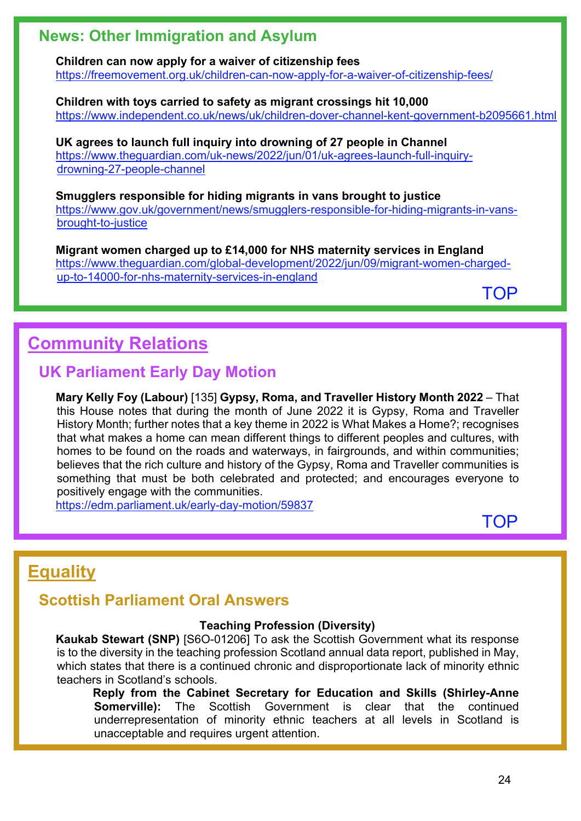# **News: Other Immigration and Asylum**

**Children can now apply for a waiver of citizenship fees** <https://freemovement.org.uk/children-can-now-apply-for-a-waiver-of-citizenship-fees/>

**Children with toys carried to safety as migrant crossings hit 10,000**  <https://www.independent.co.uk/news/uk/children-dover-channel-kent-government-b2095661.html>

**UK agrees to launch full inquiry into drowning of 27 people in Channel** [https://www.theguardian.com/uk-news/2022/jun/01/uk-agrees-launch-full-inquiry](https://www.theguardian.com/uk-news/2022/jun/01/uk-agrees-launch-full-inquiry-drowning-27-people-channel)[drowning-27-people-channel](https://www.theguardian.com/uk-news/2022/jun/01/uk-agrees-launch-full-inquiry-drowning-27-people-channel) 

**Smugglers responsible for hiding migrants in vans brought to justice** [https://www.gov.uk/government/news/smugglers-responsible-for-hiding-migrants-in-vans](https://www.gov.uk/government/news/smugglers-responsible-for-hiding-migrants-in-vans-brought-to-justice)[brought-to-justice](https://www.gov.uk/government/news/smugglers-responsible-for-hiding-migrants-in-vans-brought-to-justice)

**Migrant women charged up to £14,000 for NHS maternity services in England**  [https://www.theguardian.com/global-development/2022/jun/09/migrant-women-charged](https://www.theguardian.com/global-development/2022/jun/09/migrant-women-charged-up-to-14000-for-nhs-maternity-services-in-england)[up-to-14000-for-nhs-maternity-services-in-england](https://www.theguardian.com/global-development/2022/jun/09/migrant-women-charged-up-to-14000-for-nhs-maternity-services-in-england)

[TOP](#page-0-1)

# <span id="page-23-0"></span>**Community Relations**

# **UK Parliament Early Day Motion**

**Mary Kelly Foy (Labour)** [135] **Gypsy, Roma, and Traveller History Month 2022** – That this House notes that during the month of June 2022 it is Gypsy, Roma and Traveller History Month; further notes that a key theme in 2022 is What Makes a Home?; recognises that what makes a home can mean different things to different peoples and cultures, with homes to be found on the roads and waterways, in fairgrounds, and within communities; believes that the rich culture and history of the Gypsy, Roma and Traveller communities is something that must be both celebrated and protected; and encourages everyone to positively engage with the communities.

<https://edm.parliament.uk/early-day-motion/59837>

**[TOP](#page-0-1)** 

# <span id="page-23-1"></span>**Equality**

# **Scottish Parliament Oral Answers**

## **Teaching Profession (Diversity)**

**Kaukab Stewart (SNP)** [S6O-01206] To ask the Scottish Government what its response is to the diversity in the teaching profession Scotland annual data report, published in May, which states that there is a continued chronic and disproportionate lack of minority ethnic teachers in Scotland's schools.

**Reply from the Cabinet Secretary for Education and Skills (Shirley-Anne Somerville):** The Scottish Government is clear that the continued underrepresentation of minority ethnic teachers at all levels in Scotland is unacceptable and requires urgent attention.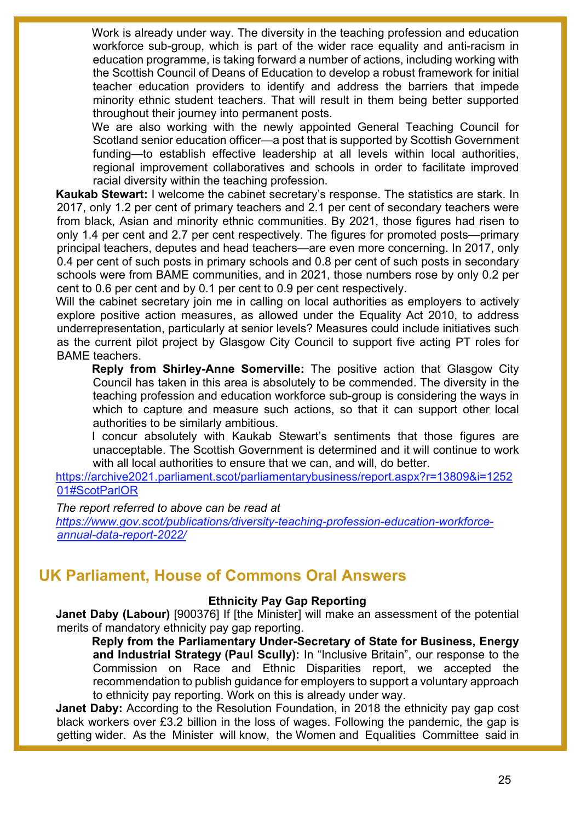Work is already under way. The diversity in the teaching profession and education workforce sub-group, which is part of the wider race equality and anti-racism in education programme, is taking forward a number of actions, including working with the Scottish Council of Deans of Education to develop a robust framework for initial teacher education providers to identify and address the barriers that impede minority ethnic student teachers. That will result in them being better supported throughout their journey into permanent posts.

We are also working with the newly appointed General Teaching Council for Scotland senior education officer—a post that is supported by Scottish Government funding—to establish effective leadership at all levels within local authorities, regional improvement collaboratives and schools in order to facilitate improved racial diversity within the teaching profession.

**Kaukab Stewart:** I welcome the cabinet secretary's response. The statistics are stark. In 2017, only 1.2 per cent of primary teachers and 2.1 per cent of secondary teachers were from black, Asian and minority ethnic communities. By 2021, those figures had risen to only 1.4 per cent and 2.7 per cent respectively. The figures for promoted posts—primary principal teachers, deputes and head teachers—are even more concerning. In 2017, only 0.4 per cent of such posts in primary schools and 0.8 per cent of such posts in secondary schools were from BAME communities, and in 2021, those numbers rose by only 0.2 per cent to 0.6 per cent and by 0.1 per cent to 0.9 per cent respectively.

Will the cabinet secretary join me in calling on local authorities as employers to actively explore positive action measures, as allowed under the Equality Act 2010, to address underrepresentation, particularly at senior levels? Measures could include initiatives such as the current pilot project by Glasgow City Council to support five acting PT roles for BAME teachers.

**Reply from Shirley-Anne Somerville:** The positive action that Glasgow City Council has taken in this area is absolutely to be commended. The diversity in the teaching profession and education workforce sub-group is considering the ways in which to capture and measure such actions, so that it can support other local authorities to be similarly ambitious.

I concur absolutely with Kaukab Stewart's sentiments that those figures are unacceptable. The Scottish Government is determined and it will continue to work with all local authorities to ensure that we can, and will, do better.

[https://archive2021.parliament.scot/parliamentarybusiness/report.aspx?r=13809&i=1252](https://archive2021.parliament.scot/parliamentarybusiness/report.aspx?r=13809&i=125201#ScotParlOR) [01#ScotParlOR](https://archive2021.parliament.scot/parliamentarybusiness/report.aspx?r=13809&i=125201#ScotParlOR)

*The report referred to above can be read at*

*[https://www.gov.scot/publications/diversity-teaching-profession-education-workforce](https://www.gov.scot/publications/diversity-teaching-profession-education-workforce-annual-data-report-2022/)[annual-data-report-2022/](https://www.gov.scot/publications/diversity-teaching-profession-education-workforce-annual-data-report-2022/)* 

# **UK Parliament, House of Commons Oral Answers**

## **Ethnicity Pay Gap Reporting**

**Janet Daby (Labour)** [900376] If [the Minister] will make an assessment of the potential merits of mandatory ethnicity pay gap reporting.

**Reply from the Parliamentary Under-Secretary of State for Business, Energy and Industrial Strategy (Paul Scully):** In "Inclusive Britain", our response to the Commission on Race and Ethnic Disparities report, we accepted the recommendation to publish guidance for employers to support a voluntary approach to ethnicity pay reporting. Work on this is already under way.

**Janet Daby:** According to the Resolution Foundation, in 2018 the ethnicity pay gap cost black workers over £3.2 billion in the loss of wages. Following the pandemic, the gap is getting wider. As the Minister will know, the Women and Equalities Committee said in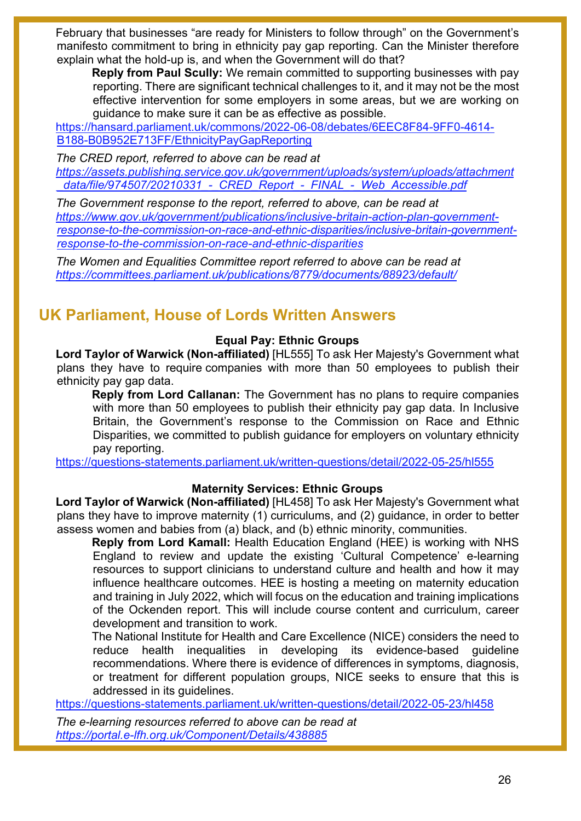February that businesses "are ready for Ministers to follow through" on the Government's manifesto commitment to bring in ethnicity pay gap reporting. Can the Minister therefore explain what the hold-up is, and when the Government will do that?

**Reply from Paul Scully:** We remain committed to supporting businesses with pay reporting. There are significant technical challenges to it, and it may not be the most effective intervention for some employers in some areas, but we are working on guidance to make sure it can be as effective as possible.

[https://hansard.parliament.uk/commons/2022-06-08/debates/6EEC8F84-9FF0-4614-](https://hansard.parliament.uk/commons/2022-06-08/debates/6EEC8F84-9FF0-4614-B188-B0B952E713FF/EthnicityPayGapReporting) [B188-B0B952E713FF/EthnicityPayGapReporting](https://hansard.parliament.uk/commons/2022-06-08/debates/6EEC8F84-9FF0-4614-B188-B0B952E713FF/EthnicityPayGapReporting)

*The CRED report, referred to above can be read at [https://assets.publishing.service.gov.uk/government/uploads/system/uploads/attachment](https://assets.publishing.service.gov.uk/government/uploads/system/uploads/attachment_data/file/974507/20210331_-_CRED_Report_-_FINAL_-_Web_Accessible.pdf) [\\_data/file/974507/20210331\\_-\\_CRED\\_Report\\_-\\_FINAL\\_-\\_Web\\_Accessible.pdf](https://assets.publishing.service.gov.uk/government/uploads/system/uploads/attachment_data/file/974507/20210331_-_CRED_Report_-_FINAL_-_Web_Accessible.pdf)*

*The Government response to the report, referred to above, can be read at [https://www.gov.uk/government/publications/inclusive-britain-action-plan-government](https://www.gov.uk/government/publications/inclusive-britain-action-plan-government-response-to-the-commission-on-race-and-ethnic-disparities/inclusive-britain-government-response-to-the-commission-on-race-and-ethnic-disparities)[response-to-the-commission-on-race-and-ethnic-disparities/inclusive-britain-government](https://www.gov.uk/government/publications/inclusive-britain-action-plan-government-response-to-the-commission-on-race-and-ethnic-disparities/inclusive-britain-government-response-to-the-commission-on-race-and-ethnic-disparities)[response-to-the-commission-on-race-and-ethnic-disparities](https://www.gov.uk/government/publications/inclusive-britain-action-plan-government-response-to-the-commission-on-race-and-ethnic-disparities/inclusive-britain-government-response-to-the-commission-on-race-and-ethnic-disparities)* 

*The Women and Equalities Committee report referred to above can be read at <https://committees.parliament.uk/publications/8779/documents/88923/default/>*

# **UK Parliament, House of Lords Written Answers**

## **Equal Pay: Ethnic Groups**

**Lord Taylor of Warwick (Non-affiliated)** [HL555] To ask Her Majesty's Government what plans they have to require companies with more than 50 employees to publish their ethnicity pay gap data.

**Reply from Lord Callanan:** The Government has no plans to require companies with more than 50 employees to publish their ethnicity pay gap data. In Inclusive Britain, the Government's response to the Commission on Race and Ethnic Disparities, we committed to publish guidance for employers on voluntary ethnicity pay reporting.

<https://questions-statements.parliament.uk/written-questions/detail/2022-05-25/hl555>

## **Maternity Services: Ethnic Groups**

**Lord Taylor of Warwick (Non-affiliated)** [HL458] To ask Her Majesty's Government what plans they have to improve maternity (1) curriculums, and (2) guidance, in order to better assess women and babies from (a) black, and (b) ethnic minority, communities.

**Reply from Lord Kamall:** Health Education England (HEE) is working with NHS England to review and update the existing 'Cultural Competence' e-learning resources to support clinicians to understand culture and health and how it may influence healthcare outcomes. HEE is hosting a meeting on maternity education and training in July 2022, which will focus on the education and training implications of the Ockenden report. This will include course content and curriculum, career development and transition to work.

The National Institute for Health and Care Excellence (NICE) considers the need to reduce health inequalities in developing its evidence-based guideline recommendations. Where there is evidence of differences in symptoms, diagnosis, or treatment for different population groups, NICE seeks to ensure that this is addressed in its guidelines.

<https://questions-statements.parliament.uk/written-questions/detail/2022-05-23/hl458>

*The e-learning resources referred to above can be read at <https://portal.e-lfh.org.uk/Component/Details/438885>*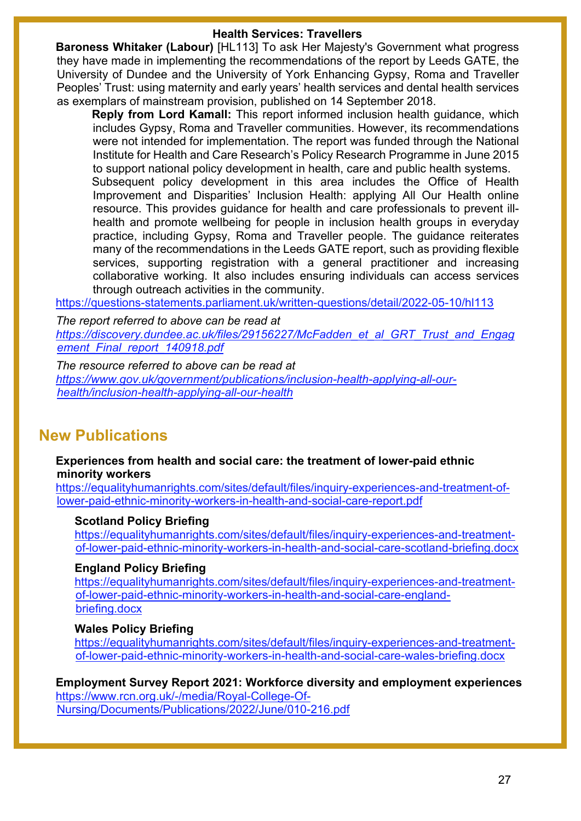### **Health Services: Travellers**

**Baroness Whitaker (Labour)** [HL113] To ask Her Majesty's Government what progress they have made in implementing the recommendations of the report by Leeds GATE, the University of Dundee and the University of York Enhancing Gypsy, Roma and Traveller Peoples' Trust: using maternity and early years' health services and dental health services as exemplars of mainstream provision, published on 14 September 2018.

**Reply from Lord Kamall:** This report informed inclusion health guidance, which includes Gypsy, Roma and Traveller communities. However, its recommendations were not intended for implementation. The report was funded through the National Institute for Health and Care Research's Policy Research Programme in June 2015 to support national policy development in health, care and public health systems.

Subsequent policy development in this area includes the Office of Health Improvement and Disparities' Inclusion Health: applying All Our Health online resource. This provides guidance for health and care professionals to prevent illhealth and promote wellbeing for people in inclusion health groups in everyday practice, including Gypsy, Roma and Traveller people. The guidance reiterates many of the recommendations in the Leeds GATE report, such as providing flexible services, supporting registration with a general practitioner and increasing collaborative working. It also includes ensuring individuals can access services through outreach activities in the community.

<https://questions-statements.parliament.uk/written-questions/detail/2022-05-10/hl113>

*The report referred to above can be read at [https://discovery.dundee.ac.uk/files/29156227/McFadden\\_et\\_al\\_GRT\\_Trust\\_and\\_Engag](https://discovery.dundee.ac.uk/files/29156227/McFadden_et_al_GRT_Trust_and_Engagement_Final_report_140918.pdf) [ement\\_Final\\_report\\_140918.pdf](https://discovery.dundee.ac.uk/files/29156227/McFadden_et_al_GRT_Trust_and_Engagement_Final_report_140918.pdf)* 

*The resource referred to above can be read at [https://www.gov.uk/government/publications/inclusion-health-applying-all-our](https://www.gov.uk/government/publications/inclusion-health-applying-all-our-health/inclusion-health-applying-all-our-health)[health/inclusion-health-applying-all-our-health](https://www.gov.uk/government/publications/inclusion-health-applying-all-our-health/inclusion-health-applying-all-our-health)* 

# **New Publications**

**Experiences from health and social care: the treatment of lower-paid ethnic minority workers**

[https://equalityhumanrights.com/sites/default/files/inquiry-experiences-and-treatment-of](https://equalityhumanrights.com/sites/default/files/inquiry-experiences-and-treatment-of-lower-paid-ethnic-minority-workers-in-health-and-social-care-report.pdf)[lower-paid-ethnic-minority-workers-in-health-and-social-care-report.pdf](https://equalityhumanrights.com/sites/default/files/inquiry-experiences-and-treatment-of-lower-paid-ethnic-minority-workers-in-health-and-social-care-report.pdf)

### **Scotland Policy Briefing**

[https://equalityhumanrights.com/sites/default/files/inquiry-experiences-and-treatment](https://equalityhumanrights.com/sites/default/files/inquiry-experiences-and-treatment-of-lower-paid-ethnic-minority-workers-in-health-and-social-care-scotland-briefing.docx)[of-lower-paid-ethnic-minority-workers-in-health-and-social-care-scotland-briefing.docx](https://equalityhumanrights.com/sites/default/files/inquiry-experiences-and-treatment-of-lower-paid-ethnic-minority-workers-in-health-and-social-care-scotland-briefing.docx)

### **England Policy Briefing**

[https://equalityhumanrights.com/sites/default/files/inquiry-experiences-and-treatment](https://equalityhumanrights.com/sites/default/files/inquiry-experiences-and-treatment-of-lower-paid-ethnic-minority-workers-in-health-and-social-care-england-briefing.docx)[of-lower-paid-ethnic-minority-workers-in-health-and-social-care-england](https://equalityhumanrights.com/sites/default/files/inquiry-experiences-and-treatment-of-lower-paid-ethnic-minority-workers-in-health-and-social-care-england-briefing.docx)[briefing.docx](https://equalityhumanrights.com/sites/default/files/inquiry-experiences-and-treatment-of-lower-paid-ethnic-minority-workers-in-health-and-social-care-england-briefing.docx) 

### **Wales Policy Briefing**

[https://equalityhumanrights.com/sites/default/files/inquiry-experiences-and-treatment](https://equalityhumanrights.com/sites/default/files/inquiry-experiences-and-treatment-of-lower-paid-ethnic-minority-workers-in-health-and-social-care-wales-briefing.docx)[of-lower-paid-ethnic-minority-workers-in-health-and-social-care-wales-briefing.docx](https://equalityhumanrights.com/sites/default/files/inquiry-experiences-and-treatment-of-lower-paid-ethnic-minority-workers-in-health-and-social-care-wales-briefing.docx) 

**Employment Survey Report 2021: Workforce diversity and employment experiences** [https://www.rcn.org.uk/-/media/Royal-College-Of-](https://www.rcn.org.uk/-/media/Royal-College-Of-Nursing/Documents/Publications/2022/June/010-216.pdf)[Nursing/Documents/Publications/2022/June/010-216.pdf](https://www.rcn.org.uk/-/media/Royal-College-Of-Nursing/Documents/Publications/2022/June/010-216.pdf)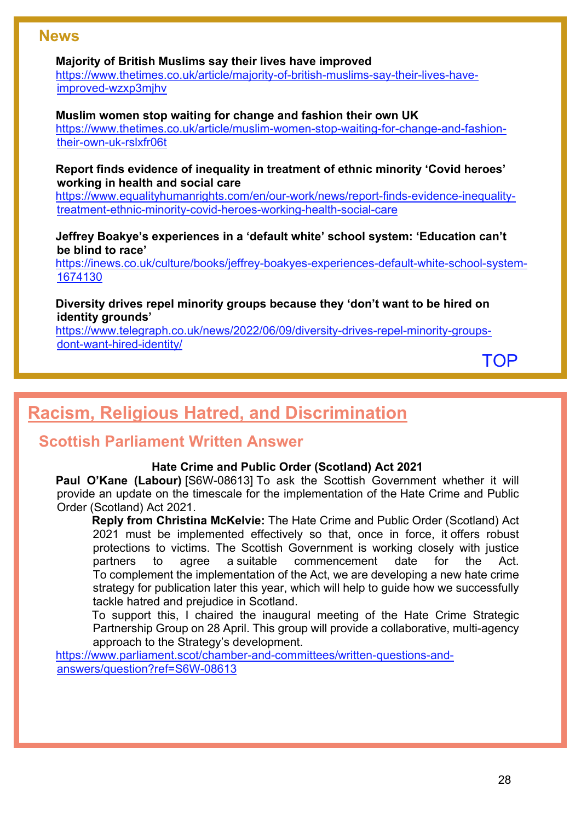## **News**

### **Majority of British Muslims say their lives have improved**

[https://www.thetimes.co.uk/article/majority-of-british-muslims-say-their-lives-have](https://www.thetimes.co.uk/article/majority-of-british-muslims-say-their-lives-have-improved-wzxp3mjhv)[improved-wzxp3mjhv](https://www.thetimes.co.uk/article/majority-of-british-muslims-say-their-lives-have-improved-wzxp3mjhv)

### **Muslim women stop waiting for change and fashion their own UK**

[https://www.thetimes.co.uk/article/muslim-women-stop-waiting-for-change-and-fashion](https://www.thetimes.co.uk/article/muslim-women-stop-waiting-for-change-and-fashion-their-own-uk-rslxfr06t)[their-own-uk-rslxfr06t](https://www.thetimes.co.uk/article/muslim-women-stop-waiting-for-change-and-fashion-their-own-uk-rslxfr06t)

**Report finds evidence of inequality in treatment of ethnic minority 'Covid heroes' working in health and social care**

[https://www.equalityhumanrights.com/en/our-work/news/report-finds-evidence-inequality](https://www.equalityhumanrights.com/en/our-work/news/report-finds-evidence-inequality-treatment-ethnic-minority-covid-heroes-working-health-social-care)[treatment-ethnic-minority-covid-heroes-working-health-social-care](https://www.equalityhumanrights.com/en/our-work/news/report-finds-evidence-inequality-treatment-ethnic-minority-covid-heroes-working-health-social-care)

**Jeffrey Boakye's experiences in a 'default white' school system: 'Education can't be blind to race'**

[https://inews.co.uk/culture/books/jeffrey-boakyes-experiences-default-white-school-system-](https://inews.co.uk/culture/books/jeffrey-boakyes-experiences-default-white-school-system-1674130)[1674130](https://inews.co.uk/culture/books/jeffrey-boakyes-experiences-default-white-school-system-1674130) 

### **Diversity drives repel minority groups because they 'don't want to be hired on identity grounds'**

[https://www.telegraph.co.uk/news/2022/06/09/diversity-drives-repel-minority-groups](https://www.telegraph.co.uk/news/2022/06/09/diversity-drives-repel-minority-groups-dont-want-hired-identity/)[dont-want-hired-identity/](https://www.telegraph.co.uk/news/2022/06/09/diversity-drives-repel-minority-groups-dont-want-hired-identity/)

[TOP](#page-0-1)

# <span id="page-27-0"></span>**Racism, Religious Hatred, and Discrimination**

# **Scottish Parliament Written Answer**

### **Hate Crime and Public Order (Scotland) Act 2021**

**Paul O'Kane (Labour)** [S6W-08613] To ask the Scottish Government whether it will provide an update on the timescale for the implementation of the Hate Crime and Public Order (Scotland) Act 2021.

**Reply from Christina McKelvie:** The Hate Crime and Public Order (Scotland) Act 2021 must be implemented effectively so that, once in force, it offers robust protections to victims. The Scottish Government is working closely with justice partners to agree a suitable commencement date for the Act. To complement the implementation of the Act, we are developing a new hate crime strategy for publication later this year, which will help to guide how we successfully tackle hatred and prejudice in Scotland.

To support this, I chaired the inaugural meeting of the Hate Crime Strategic Partnership Group on 28 April. This group will provide a collaborative, multi-agency approach to the Strategy's development.

[https://www.parliament.scot/chamber-and-committees/written-questions-and](https://www.parliament.scot/chamber-and-committees/written-questions-and-answers/question?ref=S6W-08613)[answers/question?ref=S6W-08613](https://www.parliament.scot/chamber-and-committees/written-questions-and-answers/question?ref=S6W-08613)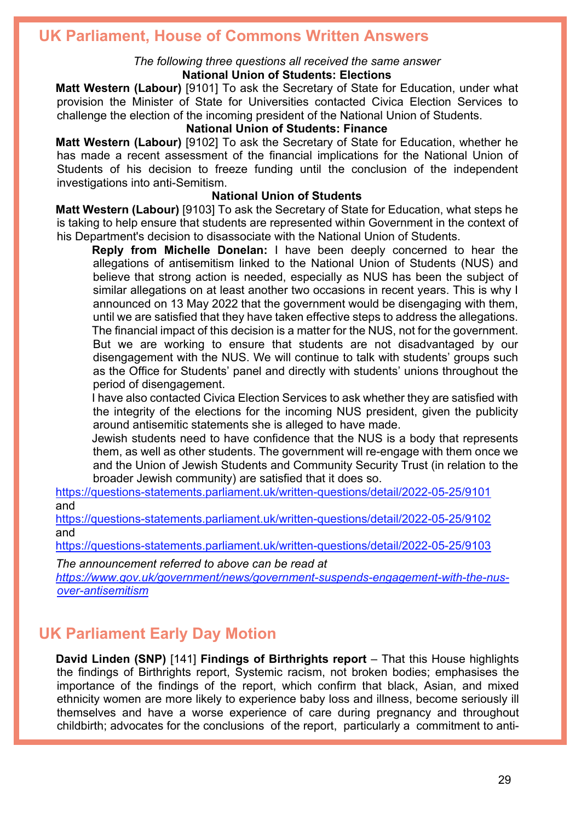# **UK Parliament, House of Commons Written Answers**

#### *The following three questions all received the same answer* **National Union of Students: Elections**

**Matt Western (Labour)** [9101] To ask the Secretary of State for Education, under what provision the Minister of State for Universities contacted Civica Election Services to challenge the election of the incoming president of the National Union of Students.

### **National Union of Students: Finance**

**Matt Western (Labour)** [9102] To ask the Secretary of State for Education, whether he has made a recent assessment of the financial implications for the National Union of Students of his decision to freeze funding until the conclusion of the independent investigations into anti-Semitism.

#### **National Union of Students**

**Matt Western (Labour)** [9103] To ask the Secretary of State for Education, what steps he is taking to help ensure that students are represented within Government in the context of his Department's decision to disassociate with the National Union of Students.

**Reply from Michelle Donelan:** I have been deeply concerned to hear the allegations of antisemitism linked to the National Union of Students (NUS) and believe that strong action is needed, especially as NUS has been the subject of similar allegations on at least another two occasions in recent years. This is why I announced on 13 May 2022 that the government would be disengaging with them, until we are satisfied that they have taken effective steps to address the allegations. The financial impact of this decision is a matter for the NUS, not for the government. But we are working to ensure that students are not disadvantaged by our disengagement with the NUS. We will continue to talk with students' groups such as the Office for Students' panel and directly with students' unions throughout the period of disengagement.

I have also contacted Civica Election Services to ask whether they are satisfied with the integrity of the elections for the incoming NUS president, given the publicity around antisemitic statements she is alleged to have made.

Jewish students need to have confidence that the NUS is a body that represents them, as well as other students. The government will re-engage with them once we and the Union of Jewish Students and Community Security Trust (in relation to the broader Jewish community) are satisfied that it does so.

<https://questions-statements.parliament.uk/written-questions/detail/2022-05-25/9101> and

<https://questions-statements.parliament.uk/written-questions/detail/2022-05-25/9102> and

<https://questions-statements.parliament.uk/written-questions/detail/2022-05-25/9103>

*The announcement referred to above can be read at*

*[https://www.gov.uk/government/news/government-suspends-engagement-with-the-nus](https://www.gov.uk/government/news/government-suspends-engagement-with-the-nus-over-antisemitism)[over-antisemitism](https://www.gov.uk/government/news/government-suspends-engagement-with-the-nus-over-antisemitism)* 

# **UK Parliament Early Day Motion**

**David Linden (SNP)** [141] **Findings of Birthrights report** – That this House highlights the findings of Birthrights report, Systemic racism, not broken bodies; emphasises the importance of the findings of the report, which confirm that black, Asian, and mixed ethnicity women are more likely to experience baby loss and illness, become seriously ill themselves and have a worse experience of care during pregnancy and throughout childbirth; advocates for the conclusions of the report, particularly a commitment to anti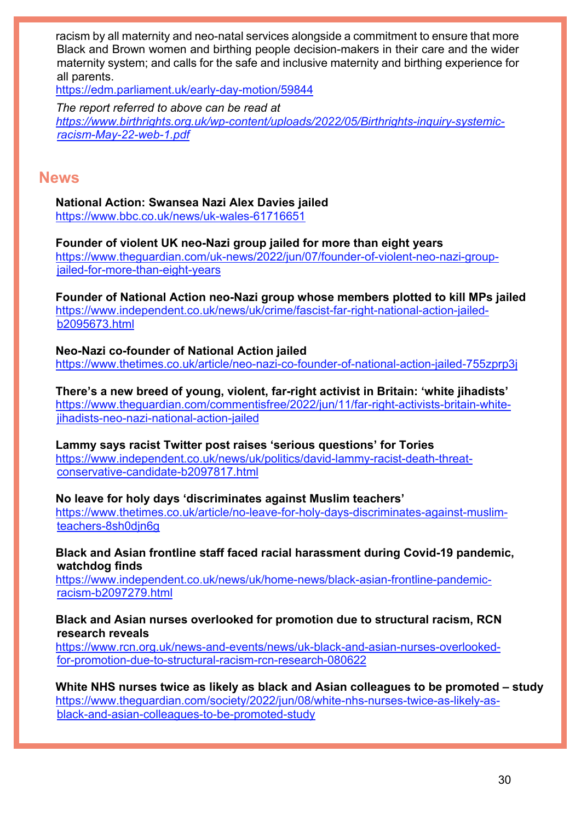racism by all maternity and neo-natal services alongside a commitment to ensure that more Black and Brown women and birthing people decision-makers in their care and the wider maternity system; and calls for the safe and inclusive maternity and birthing experience for all parents.

<https://edm.parliament.uk/early-day-motion/59844>

*The report referred to above can be read at [https://www.birthrights.org.uk/wp-content/uploads/2022/05/Birthrights-inquiry-systemic](https://www.birthrights.org.uk/wp-content/uploads/2022/05/Birthrights-inquiry-systemic-racism-May-22-web-1.pdf)[racism-May-22-web-1.pdf](https://www.birthrights.org.uk/wp-content/uploads/2022/05/Birthrights-inquiry-systemic-racism-May-22-web-1.pdf)* 

## **News**

**National Action: Swansea Nazi Alex Davies jailed** <https://www.bbc.co.uk/news/uk-wales-61716651>

**Founder of violent UK neo-Nazi group jailed for more than eight years**  [https://www.theguardian.com/uk-news/2022/jun/07/founder-of-violent-neo-nazi-group](https://www.theguardian.com/uk-news/2022/jun/07/founder-of-violent-neo-nazi-group-jailed-for-more-than-eight-years)[jailed-for-more-than-eight-years](https://www.theguardian.com/uk-news/2022/jun/07/founder-of-violent-neo-nazi-group-jailed-for-more-than-eight-years)

**Founder of National Action neo-Nazi group whose members plotted to kill MPs jailed**  [https://www.independent.co.uk/news/uk/crime/fascist-far-right-national-action-jailed](https://www.independent.co.uk/news/uk/crime/fascist-far-right-national-action-jailed-b2095673.html)[b2095673.html](https://www.independent.co.uk/news/uk/crime/fascist-far-right-national-action-jailed-b2095673.html)

**Neo-Nazi co-founder of National Action jailed**  <https://www.thetimes.co.uk/article/neo-nazi-co-founder-of-national-action-jailed-755zprp3j>

**There's a new breed of young, violent, far-right activist in Britain: 'white jihadists'**  [https://www.theguardian.com/commentisfree/2022/jun/11/far-right-activists-britain-white](https://www.theguardian.com/commentisfree/2022/jun/11/far-right-activists-britain-white-jihadists-neo-nazi-national-action-jailed)[jihadists-neo-nazi-national-action-jailed](https://www.theguardian.com/commentisfree/2022/jun/11/far-right-activists-britain-white-jihadists-neo-nazi-national-action-jailed)

**Lammy says racist Twitter post raises 'serious questions' for Tories**  [https://www.independent.co.uk/news/uk/politics/david-lammy-racist-death-threat-](https://www.independent.co.uk/news/uk/politics/david-lammy-racist-death-threat-conservative-candidate-b2097817.html)

[conservative-candidate-b2097817.html](https://www.independent.co.uk/news/uk/politics/david-lammy-racist-death-threat-conservative-candidate-b2097817.html)

**No leave for holy days 'discriminates against Muslim teachers'** 

[https://www.thetimes.co.uk/article/no-leave-for-holy-days-discriminates-against-muslim](https://www.thetimes.co.uk/article/no-leave-for-holy-days-discriminates-against-muslim-teachers-8sh0djn6g)[teachers-8sh0djn6g](https://www.thetimes.co.uk/article/no-leave-for-holy-days-discriminates-against-muslim-teachers-8sh0djn6g)

**Black and Asian frontline staff faced racial harassment during Covid-19 pandemic, watchdog finds** 

[https://www.independent.co.uk/news/uk/home-news/black-asian-frontline-pandemic](https://www.independent.co.uk/news/uk/home-news/black-asian-frontline-pandemic-racism-b2097279.html)[racism-b2097279.html](https://www.independent.co.uk/news/uk/home-news/black-asian-frontline-pandemic-racism-b2097279.html)

**Black and Asian nurses overlooked for promotion due to structural racism, RCN research reveals**

[https://www.rcn.org.uk/news-and-events/news/uk-black-and-asian-nurses-overlooked](https://www.rcn.org.uk/news-and-events/news/uk-black-and-asian-nurses-overlooked-for-promotion-due-to-structural-racism-rcn-research-080622)[for-promotion-due-to-structural-racism-rcn-research-080622](https://www.rcn.org.uk/news-and-events/news/uk-black-and-asian-nurses-overlooked-for-promotion-due-to-structural-racism-rcn-research-080622) 

**White NHS nurses twice as likely as black and Asian colleagues to be promoted – study**  [https://www.theguardian.com/society/2022/jun/08/white-nhs-nurses-twice-as-likely-as](https://www.theguardian.com/society/2022/jun/08/white-nhs-nurses-twice-as-likely-as-black-and-asian-colleagues-to-be-promoted-study)[black-and-asian-colleagues-to-be-promoted-study](https://www.theguardian.com/society/2022/jun/08/white-nhs-nurses-twice-as-likely-as-black-and-asian-colleagues-to-be-promoted-study)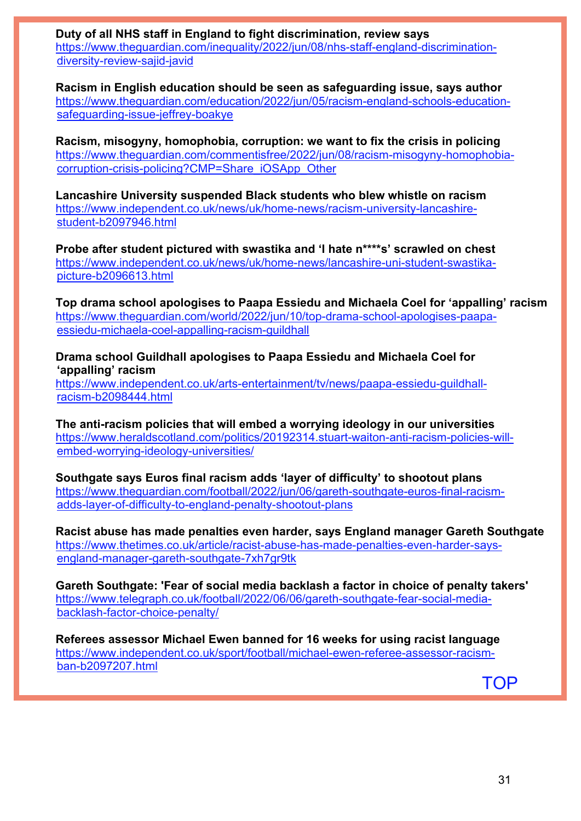**Duty of all NHS staff in England to fight discrimination, review says**  [https://www.theguardian.com/inequality/2022/jun/08/nhs-staff-england-discrimination](https://www.theguardian.com/inequality/2022/jun/08/nhs-staff-england-discrimination-diversity-review-sajid-javid)[diversity-review-sajid-javid](https://www.theguardian.com/inequality/2022/jun/08/nhs-staff-england-discrimination-diversity-review-sajid-javid)

**Racism in English education should be seen as safeguarding issue, says author**  [https://www.theguardian.com/education/2022/jun/05/racism-england-schools-education](https://www.theguardian.com/education/2022/jun/05/racism-england-schools-education-safeguarding-issue-jeffrey-boakye)[safeguarding-issue-jeffrey-boakye](https://www.theguardian.com/education/2022/jun/05/racism-england-schools-education-safeguarding-issue-jeffrey-boakye)

**Racism, misogyny, homophobia, corruption: we want to fix the crisis in policing** [https://www.theguardian.com/commentisfree/2022/jun/08/racism-misogyny-homophobia](https://www.theguardian.com/commentisfree/2022/jun/08/racism-misogyny-homophobia-corruption-crisis-policing?CMP=Share_iOSApp_Other)[corruption-crisis-policing?CMP=Share\\_iOSApp\\_Other](https://www.theguardian.com/commentisfree/2022/jun/08/racism-misogyny-homophobia-corruption-crisis-policing?CMP=Share_iOSApp_Other)

**Lancashire University suspended Black students who blew whistle on racism**  [https://www.independent.co.uk/news/uk/home-news/racism-university-lancashire](https://www.independent.co.uk/news/uk/home-news/racism-university-lancashire-student-b2097946.html)[student-b2097946.html](https://www.independent.co.uk/news/uk/home-news/racism-university-lancashire-student-b2097946.html)

**Probe after student pictured with swastika and 'I hate n\*\*\*\*s' scrawled on chest**  [https://www.independent.co.uk/news/uk/home-news/lancashire-uni-student-swastika](https://www.independent.co.uk/news/uk/home-news/lancashire-uni-student-swastika-picture-b2096613.html)[picture-b2096613.html](https://www.independent.co.uk/news/uk/home-news/lancashire-uni-student-swastika-picture-b2096613.html)

**Top drama school apologises to Paapa Essiedu and Michaela Coel for 'appalling' racism**  [https://www.theguardian.com/world/2022/jun/10/top-drama-school-apologises-paapa](https://www.theguardian.com/world/2022/jun/10/top-drama-school-apologises-paapa-essiedu-michaela-coel-appalling-racism-guildhall)[essiedu-michaela-coel-appalling-racism-guildhall](https://www.theguardian.com/world/2022/jun/10/top-drama-school-apologises-paapa-essiedu-michaela-coel-appalling-racism-guildhall)

**Drama school Guildhall apologises to Paapa Essiedu and Michaela Coel for 'appalling' racism** 

[https://www.independent.co.uk/arts-entertainment/tv/news/paapa-essiedu-guildhall](https://www.independent.co.uk/arts-entertainment/tv/news/paapa-essiedu-guildhall-racism-b2098444.html)[racism-b2098444.html](https://www.independent.co.uk/arts-entertainment/tv/news/paapa-essiedu-guildhall-racism-b2098444.html)

**The anti-racism policies that will embed a worrying ideology in our universities** [https://www.heraldscotland.com/politics/20192314.stuart-waiton-anti-racism-policies-will](https://www.heraldscotland.com/politics/20192314.stuart-waiton-anti-racism-policies-will-embed-worrying-ideology-universities/)[embed-worrying-ideology-universities/](https://www.heraldscotland.com/politics/20192314.stuart-waiton-anti-racism-policies-will-embed-worrying-ideology-universities/)

**Southgate says Euros final racism adds 'layer of difficulty' to shootout plans**  [https://www.theguardian.com/football/2022/jun/06/gareth-southgate-euros-final-racism](https://www.theguardian.com/football/2022/jun/06/gareth-southgate-euros-final-racism-adds-layer-of-difficulty-to-england-penalty-shootout-plans)[adds-layer-of-difficulty-to-england-penalty-shootout-plans](https://www.theguardian.com/football/2022/jun/06/gareth-southgate-euros-final-racism-adds-layer-of-difficulty-to-england-penalty-shootout-plans)

**Racist abuse has made penalties even harder, says England manager Gareth Southgate**  [https://www.thetimes.co.uk/article/racist-abuse-has-made-penalties-even-harder-says](https://www.thetimes.co.uk/article/racist-abuse-has-made-penalties-even-harder-says-england-manager-gareth-southgate-7xh7gr9tk)[england-manager-gareth-southgate-7xh7gr9tk](https://www.thetimes.co.uk/article/racist-abuse-has-made-penalties-even-harder-says-england-manager-gareth-southgate-7xh7gr9tk)

**Gareth Southgate: 'Fear of social media backlash a factor in choice of penalty takers'** [https://www.telegraph.co.uk/football/2022/06/06/gareth-southgate-fear-social-media](https://www.telegraph.co.uk/football/2022/06/06/gareth-southgate-fear-social-media-backlash-factor-choice-penalty/)[backlash-factor-choice-penalty/](https://www.telegraph.co.uk/football/2022/06/06/gareth-southgate-fear-social-media-backlash-factor-choice-penalty/)

**Referees assessor Michael Ewen banned for 16 weeks for using racist language**  [https://www.independent.co.uk/sport/football/michael-ewen-referee-assessor-racism](https://www.independent.co.uk/sport/football/michael-ewen-referee-assessor-racism-ban-b2097207.html)[ban-b2097207.html](https://www.independent.co.uk/sport/football/michael-ewen-referee-assessor-racism-ban-b2097207.html)

[TOP](#page-0-1)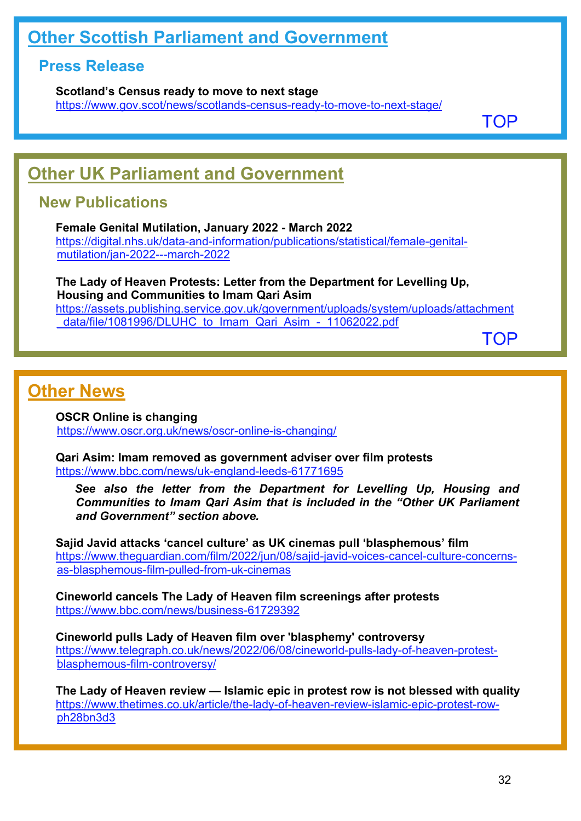# <span id="page-31-0"></span>**Other Scottish Parliament and Government**

# **Press Release**

**Scotland's Census ready to move to next stage** <https://www.gov.scot/news/scotlands-census-ready-to-move-to-next-stage/>

[TOP](#page-0-1)

# <span id="page-31-1"></span>**Other UK Parliament and Government**

# **New Publications**

**Female Genital Mutilation, January 2022 - March 2022** [https://digital.nhs.uk/data-and-information/publications/statistical/female-genital](https://digital.nhs.uk/data-and-information/publications/statistical/female-genital-mutilation/jan-2022---march-2022)[mutilation/jan-2022---march-2022](https://digital.nhs.uk/data-and-information/publications/statistical/female-genital-mutilation/jan-2022---march-2022)

**The Lady of Heaven Protests: Letter from the Department for Levelling Up, Housing and Communities to Imam Qari Asim** [https://assets.publishing.service.gov.uk/government/uploads/system/uploads/attachment](https://assets.publishing.service.gov.uk/government/uploads/system/uploads/attachment_data/file/1081996/DLUHC_to_Imam_Qari_Asim_-_11062022.pdf) data/file/1081996/DLUHC\_to\_Imam\_Qari\_Asim\_-\_11062022.pdf

[TOP](#page-0-1)

# <span id="page-31-2"></span>**Other News**

**OSCR Online is changing** <https://www.oscr.org.uk/news/oscr-online-is-changing/>

**Qari Asim: Imam removed as government adviser over film protests** <https://www.bbc.com/news/uk-england-leeds-61771695>

*See also the letter from the Department for Levelling Up, Housing and Communities to Imam Qari Asim that is included in the "Other UK Parliament and Government" section above.*

**Sajid Javid attacks 'cancel culture' as UK cinemas pull 'blasphemous' film**  [https://www.theguardian.com/film/2022/jun/08/sajid-javid-voices-cancel-culture-concerns](https://www.theguardian.com/film/2022/jun/08/sajid-javid-voices-cancel-culture-concerns-as-blasphemous-film-pulled-from-uk-cinemas)[as-blasphemous-film-pulled-from-uk-cinemas](https://www.theguardian.com/film/2022/jun/08/sajid-javid-voices-cancel-culture-concerns-as-blasphemous-film-pulled-from-uk-cinemas)

**Cineworld cancels The Lady of Heaven film screenings after protests** <https://www.bbc.com/news/business-61729392>

**Cineworld pulls Lady of Heaven film over 'blasphemy' controversy** [https://www.telegraph.co.uk/news/2022/06/08/cineworld-pulls-lady-of-heaven-protest](https://www.telegraph.co.uk/news/2022/06/08/cineworld-pulls-lady-of-heaven-protest-blasphemous-film-controversy/)[blasphemous-film-controversy/](https://www.telegraph.co.uk/news/2022/06/08/cineworld-pulls-lady-of-heaven-protest-blasphemous-film-controversy/)

**The Lady of Heaven review — Islamic epic in protest row is not blessed with quality**  [https://www.thetimes.co.uk/article/the-lady-of-heaven-review-islamic-epic-protest-row](https://www.thetimes.co.uk/article/the-lady-of-heaven-review-islamic-epic-protest-row-ph28bn3d3)[ph28bn3d3](https://www.thetimes.co.uk/article/the-lady-of-heaven-review-islamic-epic-protest-row-ph28bn3d3)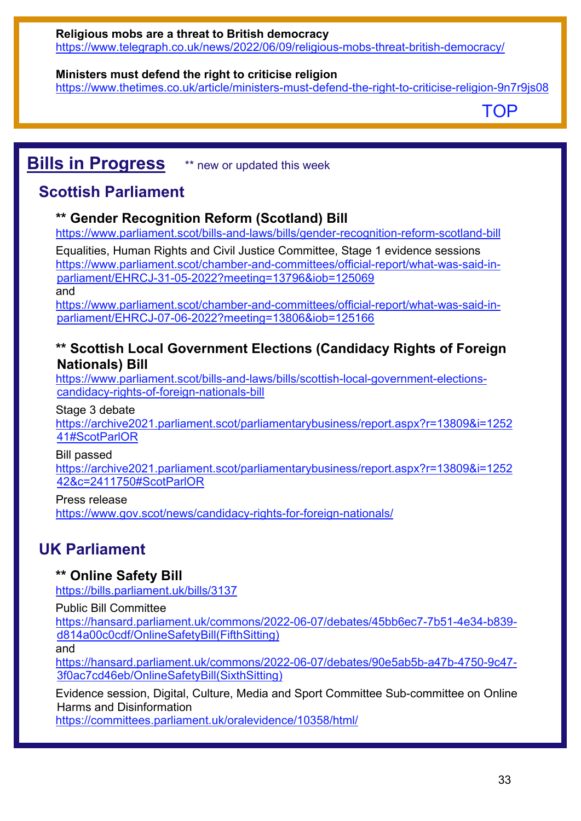## **Ministers must defend the right to criticise religion**

<https://www.thetimes.co.uk/article/ministers-must-defend-the-right-to-criticise-religion-9n7r9js08>

[TOP](#page-0-1)

# <span id="page-32-0"></span>**Bills in Progress** \*\* new or updated this week

# **Scottish Parliament**

# **\*\* Gender Recognition Reform (Scotland) Bill**

<https://www.parliament.scot/bills-and-laws/bills/gender-recognition-reform-scotland-bill>

Equalities, Human Rights and Civil Justice Committee, Stage 1 evidence sessions [https://www.parliament.scot/chamber-and-committees/official-report/what-was-said-in](https://www.parliament.scot/chamber-and-committees/official-report/what-was-said-in-parliament/EHRCJ-31-05-2022?meeting=13796&iob=125069)[parliament/EHRCJ-31-05-2022?meeting=13796&iob=125069](https://www.parliament.scot/chamber-and-committees/official-report/what-was-said-in-parliament/EHRCJ-31-05-2022?meeting=13796&iob=125069)  and

[https://www.parliament.scot/chamber-and-committees/official-report/what-was-said-in](https://www.parliament.scot/chamber-and-committees/official-report/what-was-said-in-parliament/EHRCJ-07-06-2022?meeting=13806&iob=125166)[parliament/EHRCJ-07-06-2022?meeting=13806&iob=125166](https://www.parliament.scot/chamber-and-committees/official-report/what-was-said-in-parliament/EHRCJ-07-06-2022?meeting=13806&iob=125166) 

## **\*\* Scottish Local Government Elections (Candidacy Rights of Foreign Nationals) Bill**

[https://www.parliament.scot/bills-and-laws/bills/scottish-local-government-elections](https://www.parliament.scot/bills-and-laws/bills/scottish-local-government-elections-candidacy-rights-of-foreign-nationals-bill)[candidacy-rights-of-foreign-nationals-bill](https://www.parliament.scot/bills-and-laws/bills/scottish-local-government-elections-candidacy-rights-of-foreign-nationals-bill)

## Stage 3 debate

[https://archive2021.parliament.scot/parliamentarybusiness/report.aspx?r=13809&i=1252](https://archive2021.parliament.scot/parliamentarybusiness/report.aspx?r=13809&i=125241#ScotParlOR) [41#ScotParlOR](https://archive2021.parliament.scot/parliamentarybusiness/report.aspx?r=13809&i=125241#ScotParlOR) 

Bill passed

[https://archive2021.parliament.scot/parliamentarybusiness/report.aspx?r=13809&i=1252](https://archive2021.parliament.scot/parliamentarybusiness/report.aspx?r=13809&i=125242&c=2411750#ScotParlOR) [42&c=2411750#ScotParlOR](https://archive2021.parliament.scot/parliamentarybusiness/report.aspx?r=13809&i=125242&c=2411750#ScotParlOR) 

## Press release

<https://www.gov.scot/news/candidacy-rights-for-foreign-nationals/>

# **UK Parliament**

# **\*\* Online Safety Bill**

<https://bills.parliament.uk/bills/3137>

Public Bill Committee

[https://hansard.parliament.uk/commons/2022-06-07/debates/45bb6ec7-7b51-4e34-b839](https://hansard.parliament.uk/commons/2022-06-07/debates/45bb6ec7-7b51-4e34-b839-d814a00c0cdf/OnlineSafetyBill(FifthSitting)) [d814a00c0cdf/OnlineSafetyBill\(FifthSitting\)](https://hansard.parliament.uk/commons/2022-06-07/debates/45bb6ec7-7b51-4e34-b839-d814a00c0cdf/OnlineSafetyBill(FifthSitting))

and

[https://hansard.parliament.uk/commons/2022-06-07/debates/90e5ab5b-a47b-4750-9c47-](https://hansard.parliament.uk/commons/2022-06-07/debates/90e5ab5b-a47b-4750-9c47-3f0ac7cd46eb/OnlineSafetyBill(SixthSitting)) [3f0ac7cd46eb/OnlineSafetyBill\(SixthSitting\)](https://hansard.parliament.uk/commons/2022-06-07/debates/90e5ab5b-a47b-4750-9c47-3f0ac7cd46eb/OnlineSafetyBill(SixthSitting)) 

Evidence session, Digital, Culture, Media and Sport Committee Sub-committee on Online Harms and Disinformation

<https://committees.parliament.uk/oralevidence/10358/html/>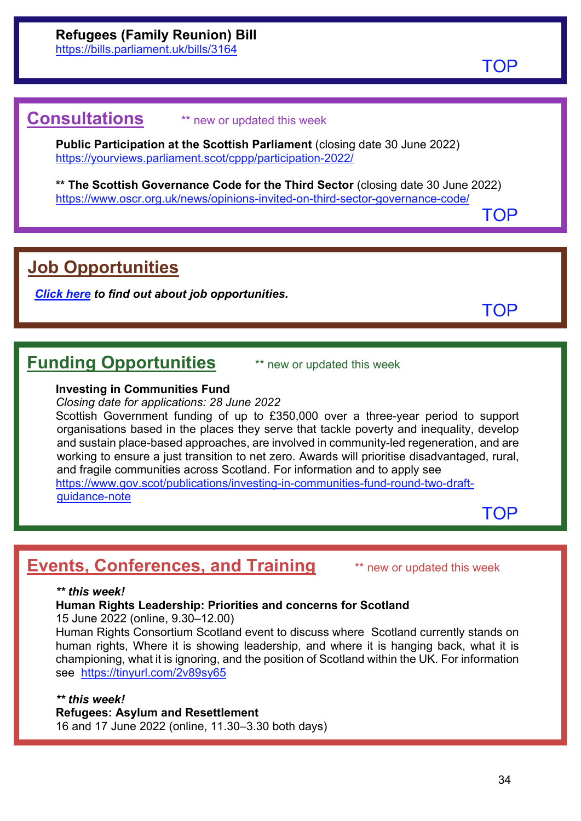[TOP](#page-0-1)

# <span id="page-33-0"></span>**Consultations** \*\* new or updated this week

**Public Participation at the Scottish Parliament** (closing date 30 June 2022) <https://yourviews.parliament.scot/cppp/participation-2022/>

**\*\* The Scottish Governance Code for the Third Sector** (closing date 30 June 2022) <https://www.oscr.org.uk/news/opinions-invited-on-third-sector-governance-code/>

[TOP](#page-0-1)

# <span id="page-33-1"></span>**Job Opportunities**

*[Click here](https://www.scojec.org/memo/jobs.html) to find out about job opportunities.*

[TOP](#page-0-1)

# <span id="page-33-2"></span>**Funding Opportunities** \*\* new or updated this week

### **Investing in Communities Fund**

*Closing date for applications: 28 June 2022*

Scottish Government funding of up to £350,000 over a three-year period to support organisations based in the places they serve that tackle poverty and inequality, develop and sustain place-based approaches, are involved in community-led regeneration, and are working to ensure a just transition to net zero. Awards will prioritise disadvantaged, rural, and fragile communities across Scotland. For information and to apply see [https://www.gov.scot/publications/investing-in-communities-fund-round-two-draft](https://www.gov.scot/publications/investing-in-communities-fund-round-two-draft-guidance-note)[guidance-note](https://www.gov.scot/publications/investing-in-communities-fund-round-two-draft-guidance-note)

**[TOP](#page-0-1)** 

# <span id="page-33-3"></span>**Events, Conferences, and Training** \*\* new or updated this week

### *\*\* this week!*

**Human Rights Leadership: Priorities and concerns for Scotland**

15 June 2022 (online, 9.30–12.00)

Human Rights Consortium Scotland event to discuss where Scotland currently stands on human rights, Where it is showing leadership, and where it is hanging back, what it is championing, what it is ignoring, and the position of Scotland within the UK. For information see <https://tinyurl.com/2v89sy65>

*\*\* this week!*

**Refugees: Asylum and Resettlement**

16 and 17 June 2022 (online, 11.30–3.30 both days)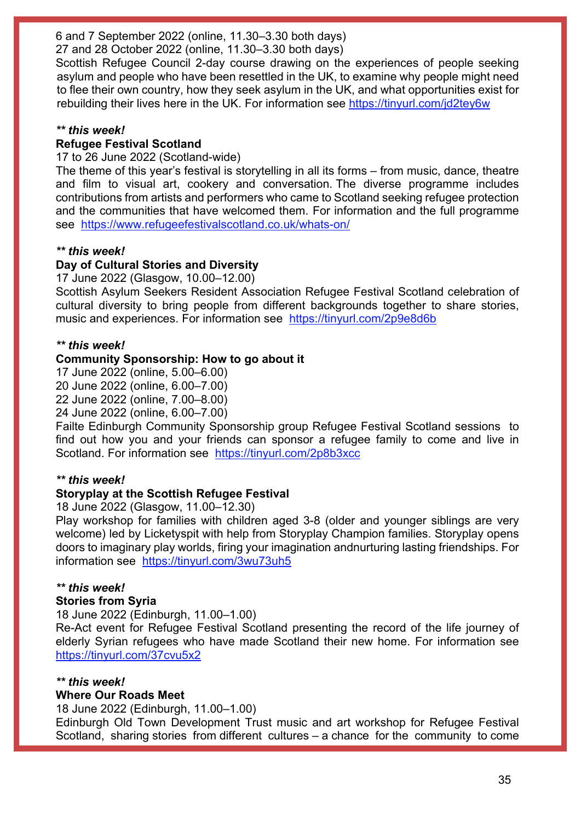6 and 7 September 2022 (online, 11.30–3.30 both days)

27 and 28 October 2022 (online, 11.30–3.30 both days)

Scottish Refugee Council 2-day course drawing on the experiences of people seeking asylum and people who have been resettled in the UK, to examine why people might need to flee their own country, how they seek asylum in the UK, and what opportunities exist for rebuilding their lives here in the UK. For information see<https://tinyurl.com/jd2tey6w>

### *\*\* this week!*

## **Refugee Festival Scotland**

17 to 26 June 2022 (Scotland-wide)

The theme of this year's festival is storytelling in all its forms – from music, dance, theatre and film to visual art, cookery and conversation. The diverse programme includes contributions from artists and performers who came to Scotland seeking refugee protection and the communities that have welcomed them. For information and the full programme see <https://www.refugeefestivalscotland.co.uk/whats-on/>

### *\*\* this week!*

## **Day of Cultural Stories and Diversity**

17 June 2022 (Glasgow, 10.00–12.00)

Scottish Asylum Seekers Resident Association Refugee Festival Scotland celebration of cultural diversity to bring people from different backgrounds together to share stories, music and experiences. For information see <https://tinyurl.com/2p9e8d6b>

### *\*\* this week!*

### **Community Sponsorship: How to go about it**

17 June 2022 (online, 5.00–6.00)

20 June 2022 (online, 6.00–7.00)

22 June 2022 (online, 7.00–8.00)

24 June 2022 (online, 6.00–7.00)

Failte Edinburgh Community Sponsorship group Refugee Festival Scotland sessions to find out how you and your friends can sponsor a refugee family to come and live in Scotland. For information see <https://tinyurl.com/2p8b3xcc>

## *\*\* this week!*

## **Storyplay at the Scottish Refugee Festival**

18 June 2022 (Glasgow, 11.00–12.30)

Play workshop for families with children aged 3-8 (older and younger siblings are very welcome) led by Licketyspit with help from Storyplay Champion families. Storyplay opens doors to imaginary play worlds, firing your imagination andnurturing lasting friendships. For information see <https://tinyurl.com/3wu73uh5>

## *\*\* this week!*

## **Stories from Syria**

18 June 2022 (Edinburgh, 11.00–1.00)

Re-Act event for Refugee Festival Scotland presenting the record of the life journey of elderly Syrian refugees who have made Scotland their new home. For information see <https://tinyurl.com/37cvu5x2>

### *\*\* this week!*

## **Where Our Roads Meet**

18 June 2022 (Edinburgh, 11.00–1.00)

Edinburgh Old Town Development Trust music and art workshop for Refugee Festival Scotland, sharing stories from different cultures – a chance for the community to come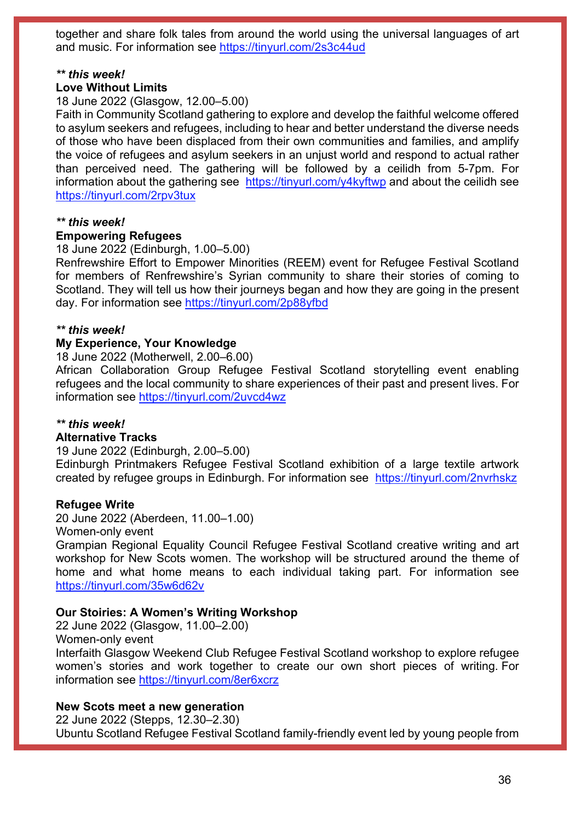together and share folk tales from around the world using the universal languages of art and music. For information see<https://tinyurl.com/2s3c44ud>

### *\*\* this week!*

### **Love Without Limits**

18 June 2022 (Glasgow, 12.00–5.00)

Faith in Community Scotland gathering to explore and develop the faithful welcome offered to asylum seekers and refugees, including to hear and better understand the diverse needs of those who have been displaced from their own communities and families, and amplify the voice of refugees and asylum seekers in an unjust world and respond to actual rather than perceived need. The gathering will be followed by a ceilidh from 5-7pm. For information about the gathering see <https://tinyurl.com/y4kyftwp> and about the ceilidh see <https://tinyurl.com/2rpv3tux>

### *\*\* this week!*

#### **Empowering Refugees**

18 June 2022 (Edinburgh, 1.00–5.00)

Renfrewshire Effort to Empower Minorities (REEM) event for Refugee Festival Scotland for members of Renfrewshire's Syrian community to share their stories of coming to Scotland. They will tell us how their journeys began and how they are going in the present day. For information see<https://tinyurl.com/2p88yfbd>

#### *\*\* this week!*

#### **My Experience, Your Knowledge**

18 June 2022 (Motherwell, 2.00–6.00)

African Collaboration Group Refugee Festival Scotland storytelling event enabling refugees and the local community to share experiences of their past and present lives. For information see<https://tinyurl.com/2uvcd4wz>

#### *\*\* this week!*

#### **Alternative Tracks**

19 June 2022 (Edinburgh, 2.00–5.00)

Edinburgh Printmakers Refugee Festival Scotland exhibition of a large textile artwork created by refugee groups in Edinburgh. For information see <https://tinyurl.com/2nvrhskz>

#### **Refugee Write**

20 June 2022 (Aberdeen, 11.00–1.00)

Women-only event

Grampian Regional Equality Council Refugee Festival Scotland creative writing and art workshop for New Scots women. The workshop will be structured around the theme of home and what home means to each individual taking part. For information see <https://tinyurl.com/35w6d62v>

#### **Our Stoiries: A Women's Writing Workshop**

22 June 2022 (Glasgow, 11.00–2.00) Women-only event Interfaith Glasgow Weekend Club Refugee Festival Scotland workshop to explore refugee women's stories and work together to create our own short pieces of writing. For information see<https://tinyurl.com/8er6xcrz>

#### **New Scots meet a new generation**

22 June 2022 (Stepps, 12.30–2.30) Ubuntu Scotland Refugee Festival Scotland family-friendly event led by young people from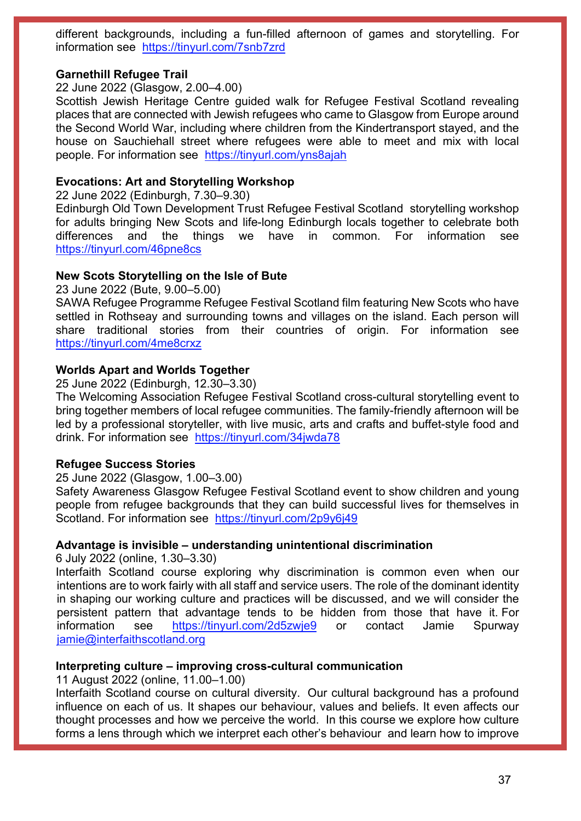different backgrounds, including a fun-filled afternoon of games and storytelling. For information see <https://tinyurl.com/7snb7zrd>

### **Garnethill Refugee Trail**

22 June 2022 (Glasgow, 2.00–4.00)

Scottish Jewish Heritage Centre guided walk for Refugee Festival Scotland revealing places that are connected with Jewish refugees who came to Glasgow from Europe around the Second World War, including where children from the Kindertransport stayed, and the house on Sauchiehall street where refugees were able to meet and mix with local people. For information see <https://tinyurl.com/yns8ajah>

### **Evocations: Art and Storytelling Workshop**

22 June 2022 (Edinburgh, 7.30–9.30)

Edinburgh Old Town Development Trust Refugee Festival Scotland storytelling workshop for adults bringing New Scots and life-long Edinburgh locals together to celebrate both differences and the things we have in common. For information see <https://tinyurl.com/46pne8cs>

#### **New Scots Storytelling on the Isle of Bute**

23 June 2022 (Bute, 9.00–5.00)

SAWA Refugee Programme Refugee Festival Scotland film featuring New Scots who have settled in Rothseay and surrounding towns and villages on the island. Each person will share traditional stories from their countries of origin. For information see <https://tinyurl.com/4me8crxz>

### **Worlds Apart and Worlds Together**

25 June 2022 (Edinburgh, 12.30–3.30)

The Welcoming Association Refugee Festival Scotland cross-cultural storytelling event to bring together members of local refugee communities. The family-friendly afternoon will be led by a professional storyteller, with live music, arts and crafts and buffet-style food and drink. For information see <https://tinyurl.com/34jwda78>

#### **Refugee Success Stories**

25 June 2022 (Glasgow, 1.00–3.00)

Safety Awareness Glasgow Refugee Festival Scotland event to show children and young people from refugee backgrounds that they can build successful lives for themselves in Scotland. For information see <https://tinyurl.com/2p9y6j49>

### **Advantage is invisible – understanding unintentional discrimination**

6 July 2022 (online, 1.30–3.30)

Interfaith Scotland course exploring why discrimination is common even when our intentions are to work fairly with all staff and service users. The role of the dominant identity in shaping our working culture and practices will be discussed, and we will consider the persistent pattern that advantage tends to be hidden from those that have it. For information see <https://tinyurl.com/2d5zwje9> or contact Jamie Spurway [jamie@interfaithscotland.org](mailto:jamie@interfaithscotland.org)

### **Interpreting culture – improving cross-cultural communication**

11 August 2022 (online, 11.00–1.00)

Interfaith Scotland course on cultural diversity. Our cultural background has a profound influence on each of us. It shapes our behaviour, values and beliefs. It even affects our thought processes and how we perceive the world. In this course we explore how culture forms a lens through which we interpret each other's behaviour and learn how to improve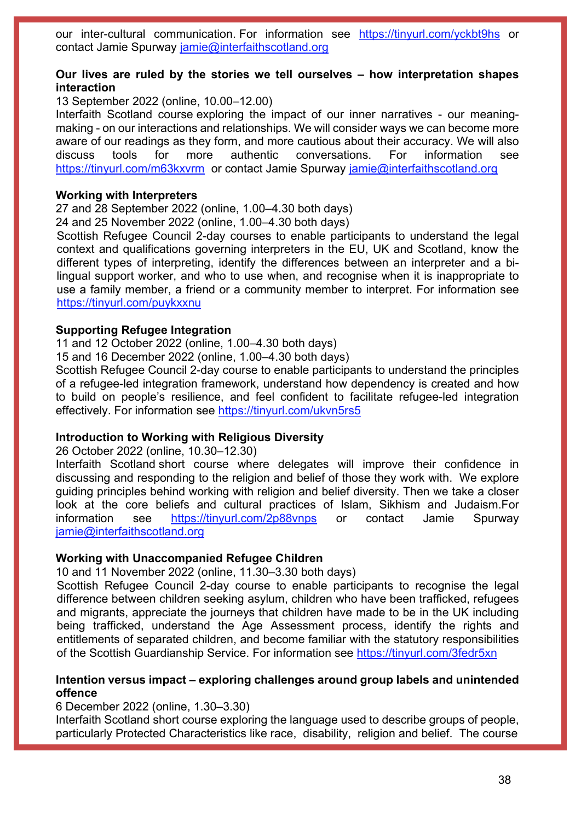our inter-cultural communication. For information see <https://tinyurl.com/yckbt9hs> or contact Jamie Spurway [jamie@interfaithscotland.org](mailto:jamie@interfaithscotland.org)

### **Our lives are ruled by the stories we tell ourselves – how interpretation shapes interaction**

13 September 2022 (online, 10.00–12.00)

Interfaith Scotland course exploring the impact of our inner narratives - our meaningmaking - on our interactions and relationships. We will consider ways we can become more aware of our readings as they form, and more cautious about their accuracy. We will also discuss tools for more authentic conversations. For information see <https://tinyurl.com/m63kxvrm>or contact Jamie Spurway [jamie@interfaithscotland.org](mailto:jamie@interfaithscotland.org)

#### **Working with Interpreters**

27 and 28 September 2022 (online, 1.00–4.30 both days)

24 and 25 November 2022 (online, 1.00–4.30 both days)

Scottish Refugee Council 2-day courses to enable participants to understand the legal context and qualifications governing interpreters in the EU, UK and Scotland, know the different types of interpreting, identify the differences between an interpreter and a bilingual support worker, and who to use when, and recognise when it is inappropriate to use a family member, a friend or a community member to interpret. For information see <https://tinyurl.com/puykxxnu>

### **Supporting Refugee Integration**

11 and 12 October 2022 (online, 1.00–4.30 both days)

15 and 16 December 2022 (online, 1.00–4.30 both days)

Scottish Refugee Council 2-day course to enable participants to understand the principles of a refugee-led integration framework, understand how dependency is created and how to build on people's resilience, and feel confident to facilitate refugee-led integration effectively. For information see<https://tinyurl.com/ukvn5rs5>

#### **Introduction to Working with Religious Diversity**

26 October 2022 (online, 10.30–12.30)

Interfaith Scotland short course where delegates will improve their confidence in discussing and responding to the religion and belief of those they work with. We explore guiding principles behind working with religion and belief diversity. Then we take a closer look at the core beliefs and cultural practices of Islam, Sikhism and Judaism.For information see <https://tinyurl.com/2p88vnps> or contact Jamie Spurway [jamie@interfaithscotland.org](mailto:jamie@interfaithscotland.org)

#### **Working with Unaccompanied Refugee Children**

10 and 11 November 2022 (online, 11.30–3.30 both days)

Scottish Refugee Council 2-day course to enable participants to recognise the legal difference between children seeking asylum, children who have been trafficked, refugees and migrants, appreciate the journeys that children have made to be in the UK including being trafficked, understand the Age Assessment process, identify the rights and entitlements of separated children, and become familiar with the statutory responsibilities of the Scottish Guardianship Service. For information see<https://tinyurl.com/3fedr5xn>

### **Intention versus impact – exploring challenges around group labels and unintended offence**

6 December 2022 (online, 1.30–3.30)

Interfaith Scotland short course exploring the language used to describe groups of people, particularly Protected Characteristics like race, disability, religion and belief. The course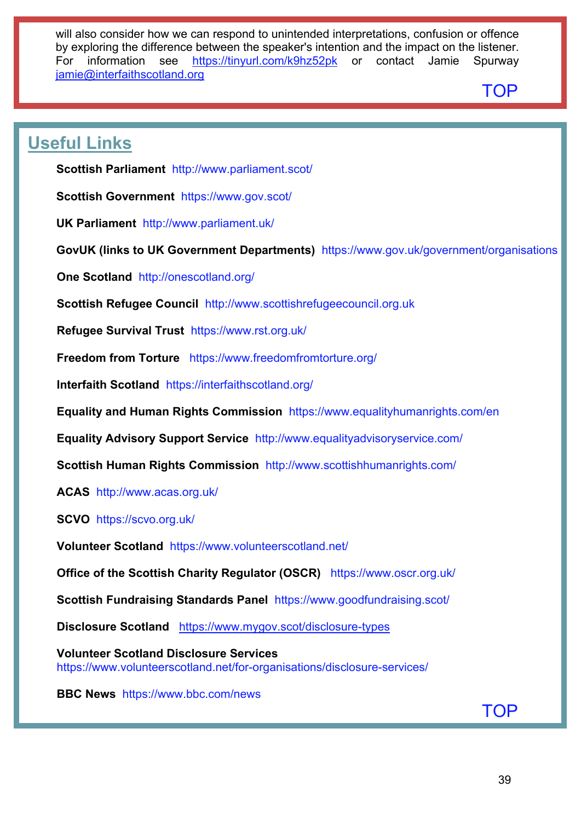will also consider how we can respond to unintended interpretations, confusion or offence by exploring the difference between the speaker's intention and the impact on the listener. For information see <https://tinyurl.com/k9hz52pk> or contact Jamie Spurway iamie@interfaithscotland.org

# [TOP](#page-0-1)

# <span id="page-38-0"></span>**Useful Links**

**Scottish Parliament** <http://www.parliament.scot/>

**Scottish Government** <https://www.gov.scot/>

**UK Parliament** <http://www.parliament.uk/>

**GovUK (links to UK Government Departments)** <https://www.gov.uk/government/organisations>

**One Scotland** <http://onescotland.org/>

**Scottish Refugee Council** [http://www.scottishrefugeecouncil.org.uk](http://www.scottishrefugeecouncil.org.uk/) 

**Refugee Survival Trust** <https://www.rst.org.uk/>

**Freedom from Torture** <https://www.freedomfromtorture.org/>

**Interfaith Scotland** <https://interfaithscotland.org/>

**Equality and Human Rights Commission** <https://www.equalityhumanrights.com/en>

**Equality Advisory Support Service** <http://www.equalityadvisoryservice.com/>

**Scottish Human Rights Commission** <http://www.scottishhumanrights.com/>

**ACAS** <http://www.acas.org.uk/>

**SCVO** <https://scvo.org.uk/>

**Volunteer Scotland** <https://www.volunteerscotland.net/>

**Office of the Scottish Charity Regulator (OSCR)** <https://www.oscr.org.uk/>

**Scottish Fundraising Standards Panel** <https://www.goodfundraising.scot/>

**Disclosure Scotland** <https://www.mygov.scot/disclosure-types>

**Volunteer Scotland Disclosure Services**  <https://www.volunteerscotland.net/for-organisations/disclosure-services/>

**BBC News** <https://www.bbc.com/news>

[TOP](#page-0-1)